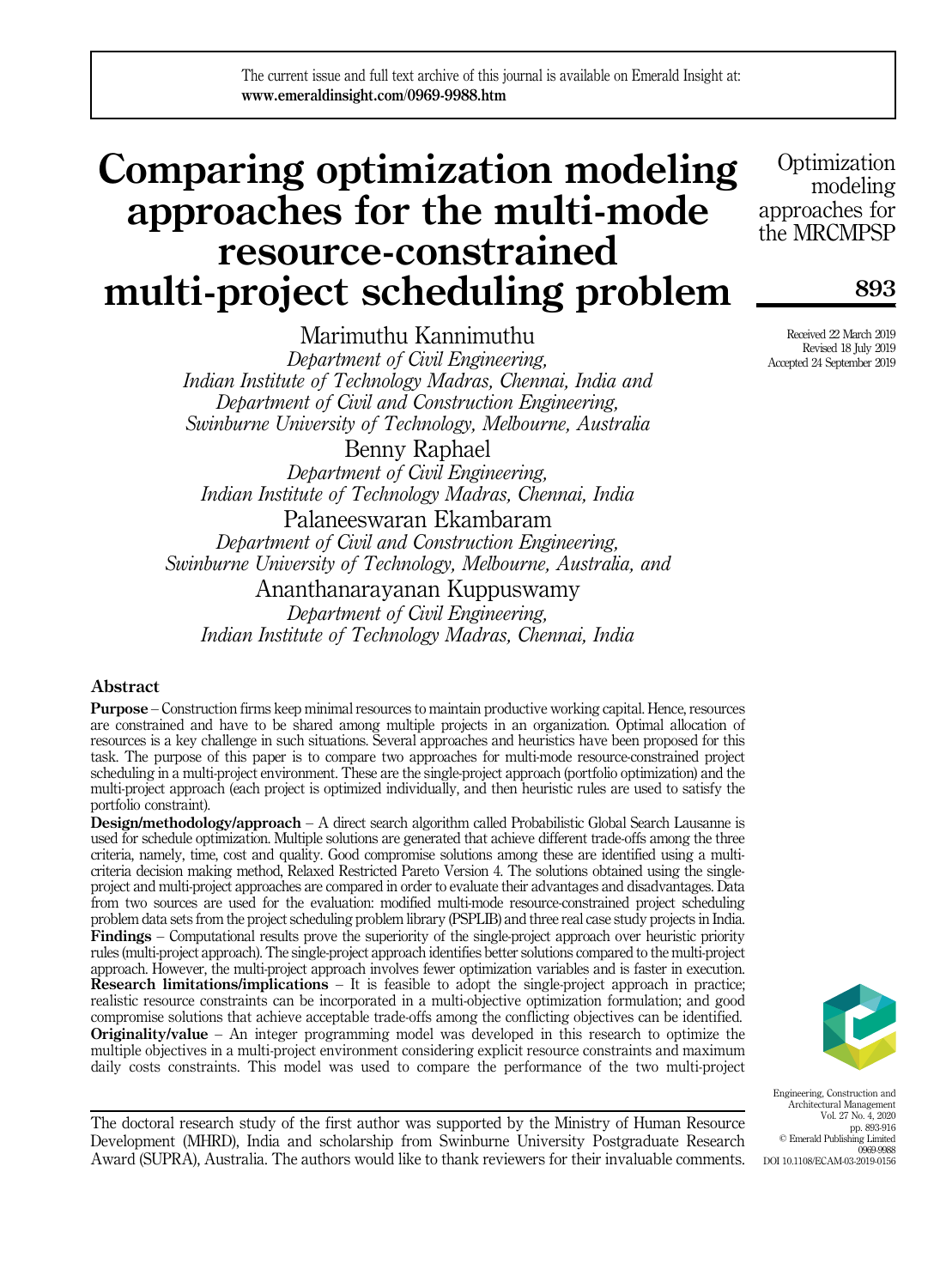# Comparing optimization modeling approaches for the multi-mode resource-constrained multi-project scheduling problem

Marimuthu Kannimuthu *Department of Civil Engineering, Indian Institute of Technology Madras, Chennai, India and Department of Civil and Construction Engineering, Swinburne University of Technology, Melbourne, Australia* Benny Raphael

*Department of Civil Engineering, Indian Institute of Technology Madras, Chennai, India*

Palaneeswaran Ekambaram *Department of Civil and Construction Engineering, Swinburne University of Technology, Melbourne, Australia, and*

Ananthanarayanan Kuppuswamy *Department of Civil Engineering, Indian Institute of Technology Madras, Chennai, India*

# Abstract

Purpose – Construction firms keep minimal resources to maintain productive working capital. Hence, resources are constrained and have to be shared among multiple projects in an organization. Optimal allocation of resources is a key challenge in such situations. Several approaches and heuristics have been proposed for this task. The purpose of this paper is to compare two approaches for multi-mode resource-constrained project scheduling in a multi-project environment. These are the single-project approach (portfolio optimization) and the multi-project approach (each project is optimized individually, and then heuristic rules are used to satisfy the portfolio constraint).

Design/methodology/approach – A direct search algorithm called Probabilistic Global Search Lausanne is used for schedule optimization. Multiple solutions are generated that achieve different trade-offs among the three criteria, namely, time, cost and quality. Good compromise solutions among these are identified using a multicriteria decision making method, Relaxed Restricted Pareto Version 4. The solutions obtained using the singleproject and multi-project approaches are compared in order to evaluate their advantages and disadvantages. Data from two sources are used for the evaluation: modified multi-mode resource-constrained project scheduling problem data sets from the project scheduling problem library (PSPLIB) and three real case study projects in India. Findings – Computational results prove the superiority of the single-project approach over heuristic priority rules (multi-project approach). The single-project approach identifies better solutions compared to the multi-project approach. However, the multi-project approach involves fewer optimization variables and is faster in execution. Research limitations/implications – It is feasible to adopt the single-project approach in practice; realistic resource constraints can be incorporated in a multi-objective optimization formulation; and good compromise solutions that achieve acceptable trade-offs among the conflicting objectives can be identified. Originality/value – An integer programming model was developed in this research to optimize the multiple objectives in a multi-project environment considering explicit resource constraints and maximum daily costs constraints. This model was used to compare the performance of the two multi-project

The doctoral research study of the first author was supported by the Ministry of Human Resource Development (MHRD), India and scholarship from Swinburne University Postgraduate Research Award (SUPRA), Australia. The authors would like to thank reviewers for their invaluable comments.

**Optimization** modeling approaches for the MRCMPSP

893

Received 22 March 2019 Revised 18 July 2019 Accepted 24 September 2019



Engineering, Construction and Architectural Management Vol. 27 No. 4, 2020 pp. 893-916 © Emerald Publishing Limited 0969-9988 DOI 10.1108/ECAM-03-2019-0156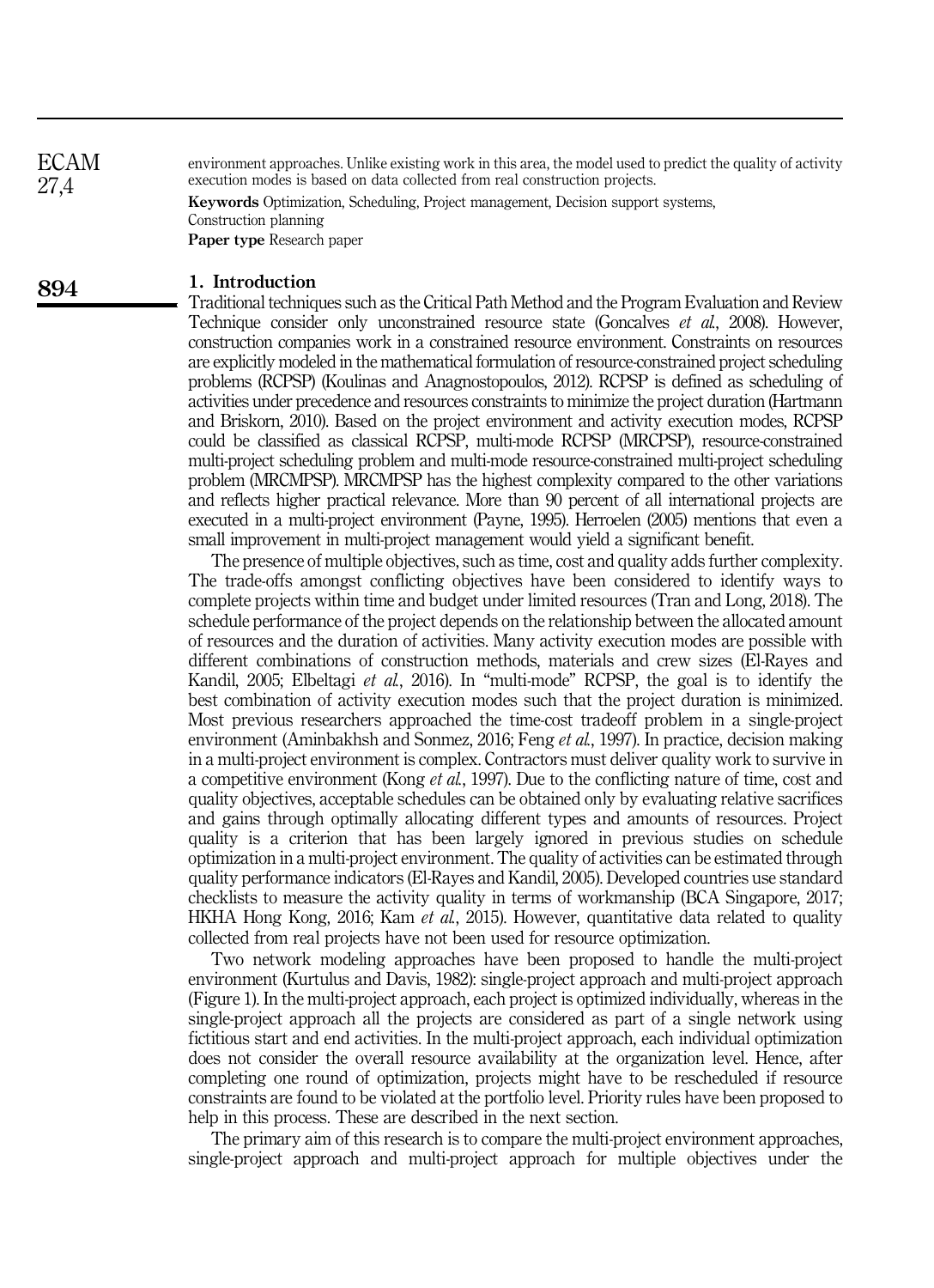environment approaches. Unlike existing work in this area, the model used to predict the quality of activity execution modes is based on data collected from real construction projects.

Keywords Optimization, Scheduling, Project management, Decision support systems, Construction planning Paper type Research paper

#### 1. Introduction

Traditional techniques such as the Critical Path Method and the Program Evaluation and Review Technique consider only unconstrained resource state (Goncalves *et al.*, 2008). However, construction companies work in a constrained resource environment. Constraints on resources are explicitly modeled in the mathematical formulation of resource-constrained project scheduling problems (RCPSP) (Koulinas and Anagnostopoulos, 2012). RCPSP is defined as scheduling of activities under precedence and resources constraints to minimize the project duration (Hartmann and Briskorn, 2010). Based on the project environment and activity execution modes, RCPSP could be classified as classical RCPSP, multi-mode RCPSP (MRCPSP), resource-constrained multi-project scheduling problem and multi-mode resource-constrained multi-project scheduling problem (MRCMPSP). MRCMPSP has the highest complexity compared to the other variations and reflects higher practical relevance. More than 90 percent of all international projects are executed in a multi-project environment (Payne, 1995). Herroelen (2005) mentions that even a small improvement in multi-project management would yield a significant benefit.

The presence of multiple objectives, such as time, cost and quality adds further complexity. The trade-offs amongst conflicting objectives have been considered to identify ways to complete projects within time and budget under limited resources (Tran and Long, 2018). The schedule performance of the project depends on the relationship between the allocated amount of resources and the duration of activities. Many activity execution modes are possible with different combinations of construction methods, materials and crew sizes (El-Rayes and Kandil, 2005; Elbeltagi *et al.*, 2016). In "multi-mode" RCPSP, the goal is to identify the best combination of activity execution modes such that the project duration is minimized. Most previous researchers approached the time-cost tradeoff problem in a single-project environment (Aminbakhsh and Sonmez, 2016; Feng *et al.*, 1997). In practice, decision making in a multi-project environment is complex. Contractors must deliver quality work to survive in a competitive environment (Kong *et al.*, 1997). Due to the conflicting nature of time, cost and quality objectives, acceptable schedules can be obtained only by evaluating relative sacrifices and gains through optimally allocating different types and amounts of resources. Project quality is a criterion that has been largely ignored in previous studies on schedule optimization in a multi-project environment. The quality of activities can be estimated through quality performance indicators (El-Rayes and Kandil, 2005). Developed countries use standard checklists to measure the activity quality in terms of workmanship (BCA Singapore, 2017; HKHA Hong Kong, 2016; Kam *et al.*, 2015). However, quantitative data related to quality collected from real projects have not been used for resource optimization.

Two network modeling approaches have been proposed to handle the multi-project environment (Kurtulus and Davis, 1982): single-project approach and multi-project approach (Figure 1). In the multi-project approach, each project is optimized individually, whereas in the single-project approach all the projects are considered as part of a single network using fictitious start and end activities. In the multi-project approach, each individual optimization does not consider the overall resource availability at the organization level. Hence, after completing one round of optimization, projects might have to be rescheduled if resource constraints are found to be violated at the portfolio level. Priority rules have been proposed to help in this process. These are described in the next section.

The primary aim of this research is to compare the multi-project environment approaches, single-project approach and multi-project approach for multiple objectives under the

894

ECAM 27,4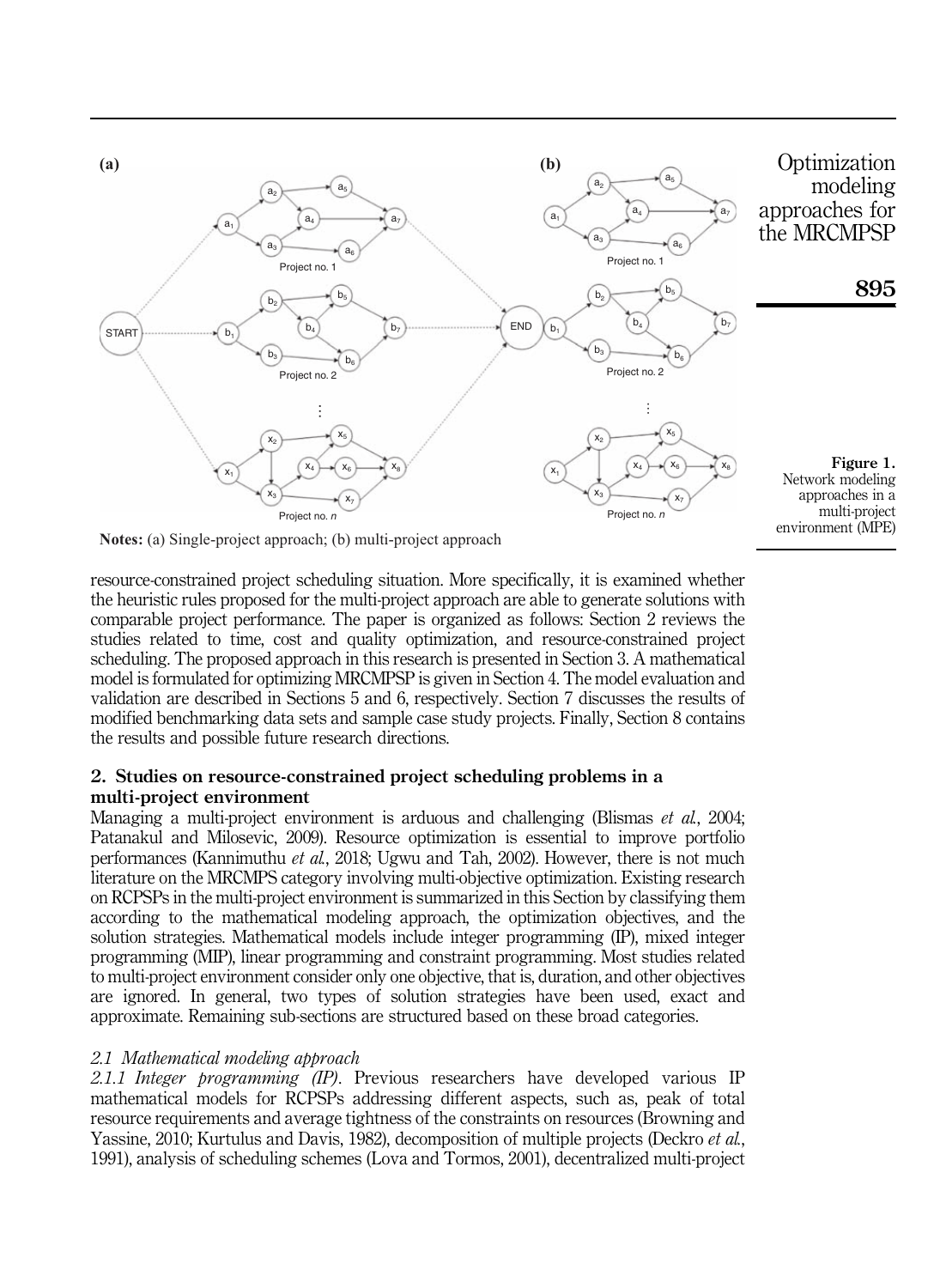

**Notes:** (a) Single-project approach; (b) multi-project approach

resource-constrained project scheduling situation. More specifically, it is examined whether the heuristic rules proposed for the multi-project approach are able to generate solutions with comparable project performance. The paper is organized as follows: Section 2 reviews the studies related to time, cost and quality optimization, and resource-constrained project scheduling. The proposed approach in this research is presented in Section 3. A mathematical model is formulated for optimizing MRCMPSP is given in Section 4. The model evaluation and validation are described in Sections 5 and 6, respectively. Section 7 discusses the results of modified benchmarking data sets and sample case study projects. Finally, Section 8 contains the results and possible future research directions.

# 2. Studies on resource-constrained project scheduling problems in a multi-project environment

Managing a multi-project environment is arduous and challenging (Blismas *et al.*, 2004; Patanakul and Milosevic, 2009). Resource optimization is essential to improve portfolio performances (Kannimuthu *et al.*, 2018; Ugwu and Tah, 2002). However, there is not much literature on the MRCMPS category involving multi-objective optimization. Existing research on RCPSPs in the multi-project environment is summarized in this Section by classifying them according to the mathematical modeling approach, the optimization objectives, and the solution strategies. Mathematical models include integer programming (IP), mixed integer programming (MIP), linear programming and constraint programming. Most studies related to multi-project environment consider only one objective, that is, duration, and other objectives are ignored. In general, two types of solution strategies have been used, exact and approximate. Remaining sub-sections are structured based on these broad categories.

# *2.1 Mathematical modeling approach*

*2.1.1 Integer programming (IP)*. Previous researchers have developed various IP mathematical models for RCPSPs addressing different aspects, such as, peak of total resource requirements and average tightness of the constraints on resources (Browning and Yassine, 2010; Kurtulus and Davis, 1982), decomposition of multiple projects (Deckro *et al.*, 1991), analysis of scheduling schemes (Lova and Tormos, 2001), decentralized multi-project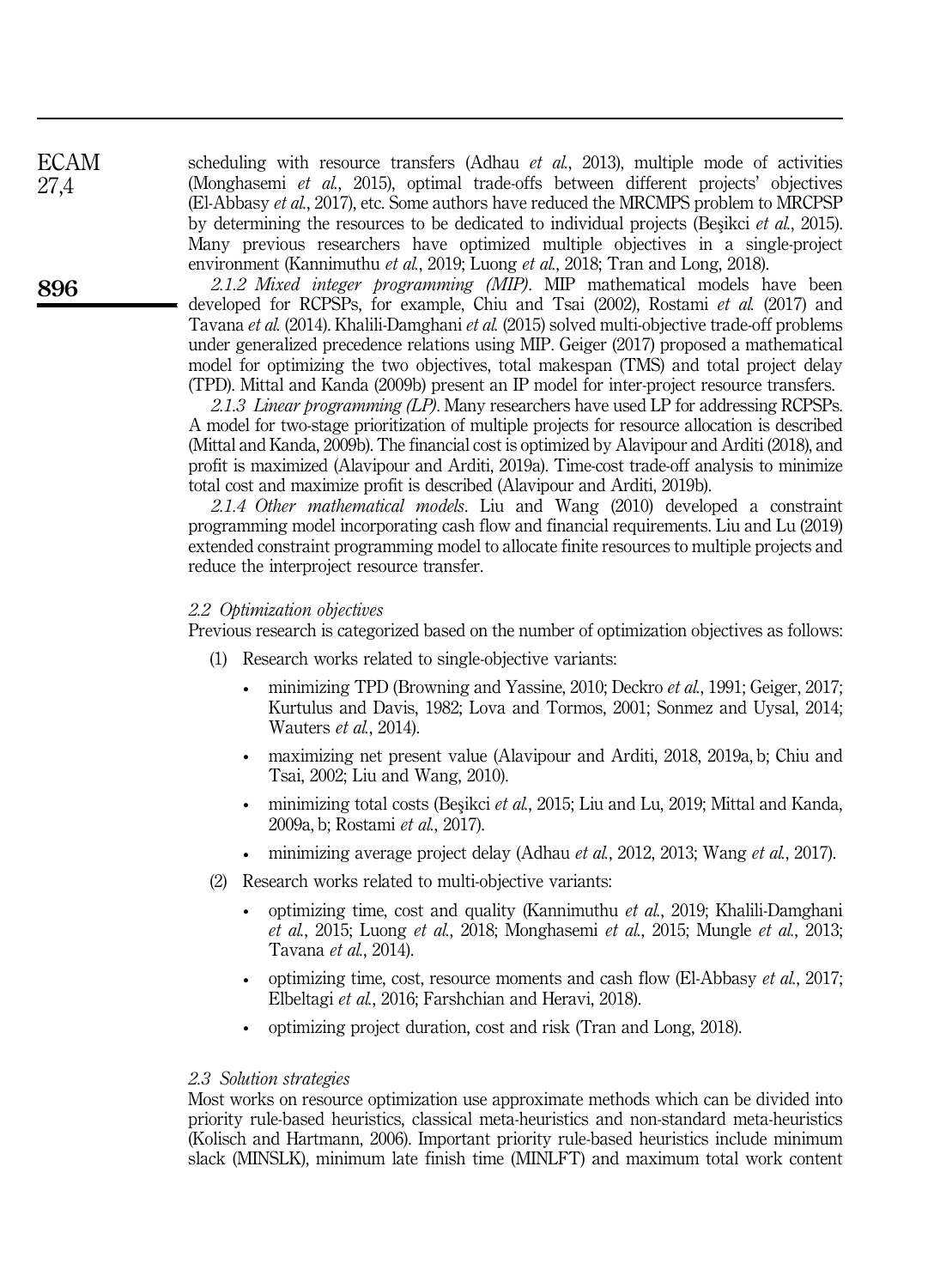scheduling with resource transfers (Adhau *et al.*, 2013), multiple mode of activities (Monghasemi *et al.*, 2015), optimal trade-offs between different projects' objectives (El-Abbasy *et al.*, 2017), etc. Some authors have reduced the MRCMPS problem to MRCPSP by determining the resources to be dedicated to individual projects (Beşikci *et al.*, 2015). Many previous researchers have optimized multiple objectives in a single-project environment (Kannimuthu *et al.*, 2019; Luong *et al.*, 2018; Tran and Long, 2018).

*2.1.2 Mixed integer programming (MIP)*. MIP mathematical models have been developed for RCPSPs, for example, Chiu and Tsai (2002), Rostami *et al.* (2017) and Tavana *et al.* (2014). Khalili-Damghani *et al.* (2015) solved multi-objective trade-off problems under generalized precedence relations using MIP. Geiger (2017) proposed a mathematical model for optimizing the two objectives, total makespan (TMS) and total project delay (TPD). Mittal and Kanda (2009b) present an IP model for inter-project resource transfers.

*2.1.3 Linear programming (LP)*. Many researchers have used LP for addressing RCPSPs. A model for two-stage prioritization of multiple projects for resource allocation is described (Mittal and Kanda, 2009b). The financial cost is optimized by Alavipour and Arditi (2018), and profit is maximized (Alavipour and Arditi, 2019a). Time-cost trade-off analysis to minimize total cost and maximize profit is described (Alavipour and Arditi, 2019b).

*2.1.4 Other mathematical models*. Liu and Wang (2010) developed a constraint programming model incorporating cash flow and financial requirements. Liu and Lu (2019) extended constraint programming model to allocate finite resources to multiple projects and reduce the interproject resource transfer.

#### *2.2 Optimization objectives*

Previous research is categorized based on the number of optimization objectives as follows:

- (1) Research works related to single-objective variants:
	- minimizing TPD (Browning and Yassine, 2010; Deckro *et al.*, 1991; Geiger, 2017; Kurtulus and Davis, 1982; Lova and Tormos, 2001; Sonmez and Uysal, 2014; Wauters *et al.*, 2014).
	- maximizing net present value (Alavipour and Arditi, 2018, 2019a, b; Chiu and Tsai, 2002; Liu and Wang, 2010).
	- minimizing total costs (Beşikci *et al.*, 2015; Liu and Lu, 2019; Mittal and Kanda, 2009a, b; Rostami *et al.*, 2017).
	- minimizing average project delay (Adhau *et al.*, 2012, 2013; Wang *et al.*, 2017).
- (2) Research works related to multi-objective variants:
	- optimizing time, cost and quality (Kannimuthu *et al.*, 2019; Khalili-Damghani *et al.*, 2015; Luong *et al.*, 2018; Monghasemi *et al.*, 2015; Mungle *et al.*, 2013; Tavana *et al.*, 2014).
	- optimizing time, cost, resource moments and cash flow (El-Abbasy *et al.*, 2017; Elbeltagi *et al.*, 2016; Farshchian and Heravi, 2018).
	- optimizing project duration, cost and risk (Tran and Long, 2018).

## *2.3 Solution strategies*

Most works on resource optimization use approximate methods which can be divided into priority rule-based heuristics, classical meta-heuristics and non-standard meta-heuristics (Kolisch and Hartmann, 2006). Important priority rule-based heuristics include minimum slack (MINSLK), minimum late finish time (MINLFT) and maximum total work content

ECAM 27,4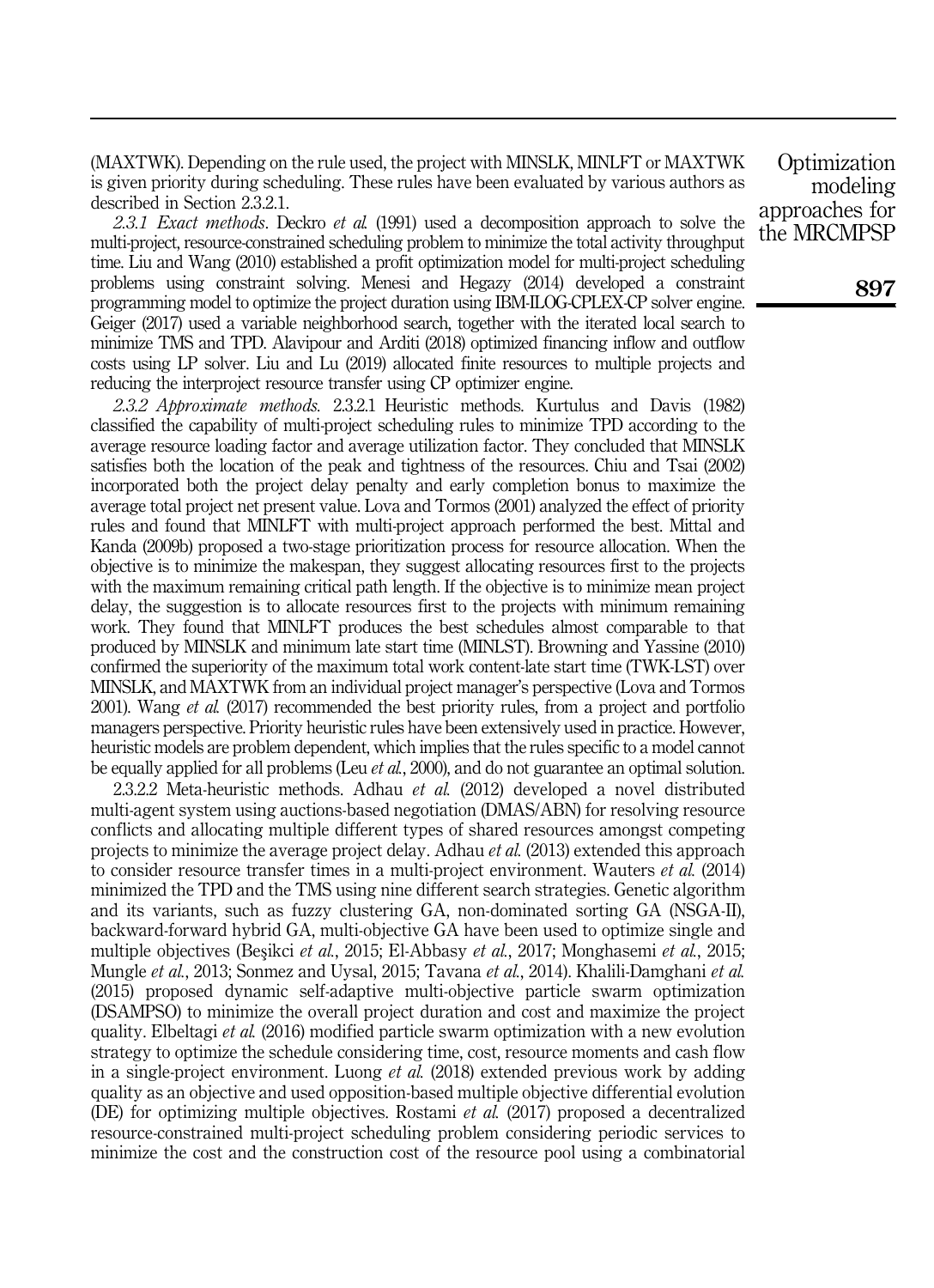(MAXTWK). Depending on the rule used, the project with MINSLK, MINLFT or MAXTWK is given priority during scheduling. These rules have been evaluated by various authors as described in Section 2.3.2.1.

*2.3.1 Exact methods*. Deckro *et al.* (1991) used a decomposition approach to solve the multi-project, resource-constrained scheduling problem to minimize the total activity throughput time. Liu and Wang (2010) established a profit optimization model for multi-project scheduling problems using constraint solving. Menesi and Hegazy (2014) developed a constraint programming model to optimize the project duration using IBM-ILOG-CPLEX-CP solver engine. Geiger (2017) used a variable neighborhood search, together with the iterated local search to minimize TMS and TPD. Alavipour and Arditi (2018) optimized financing inflow and outflow costs using LP solver. Liu and Lu (2019) allocated finite resources to multiple projects and reducing the interproject resource transfer using CP optimizer engine.

*2.3.2 Approximate methods.* 2.3.2.1 Heuristic methods. Kurtulus and Davis (1982) classified the capability of multi-project scheduling rules to minimize TPD according to the average resource loading factor and average utilization factor. They concluded that MINSLK satisfies both the location of the peak and tightness of the resources. Chiu and Tsai (2002) incorporated both the project delay penalty and early completion bonus to maximize the average total project net present value. Lova and Tormos (2001) analyzed the effect of priority rules and found that MINLFT with multi-project approach performed the best. Mittal and Kanda (2009b) proposed a two-stage prioritization process for resource allocation. When the objective is to minimize the makespan, they suggest allocating resources first to the projects with the maximum remaining critical path length. If the objective is to minimize mean project delay, the suggestion is to allocate resources first to the projects with minimum remaining work. They found that MINLFT produces the best schedules almost comparable to that produced by MINSLK and minimum late start time (MINLST). Browning and Yassine (2010) confirmed the superiority of the maximum total work content-late start time (TWK-LST) over MINSLK, and MAXTWK from an individual project manager's perspective (Lova and Tormos 2001). Wang *et al.* (2017) recommended the best priority rules, from a project and portfolio managers perspective. Priority heuristic rules have been extensively used in practice. However, heuristic models are problem dependent, which implies that the rules specific to a model cannot be equally applied for all problems (Leu *et al.*, 2000), and do not guarantee an optimal solution.

2.3.2.2 Meta-heuristic methods. Adhau *et al.* (2012) developed a novel distributed multi-agent system using auctions-based negotiation (DMAS/ABN) for resolving resource conflicts and allocating multiple different types of shared resources amongst competing projects to minimize the average project delay. Adhau *et al.* (2013) extended this approach to consider resource transfer times in a multi-project environment. Wauters *et al.* (2014) minimized the TPD and the TMS using nine different search strategies. Genetic algorithm and its variants, such as fuzzy clustering GA, non-dominated sorting GA (NSGA-II), backward-forward hybrid GA, multi-objective GA have been used to optimize single and multiple objectives (Beşikci *et al.*, 2015; El-Abbasy *et al.*, 2017; Monghasemi *et al.*, 2015; Mungle *et al.*, 2013; Sonmez and Uysal, 2015; Tavana *et al.*, 2014). Khalili-Damghani *et al.* (2015) proposed dynamic self-adaptive multi-objective particle swarm optimization (DSAMPSO) to minimize the overall project duration and cost and maximize the project quality. Elbeltagi *et al.* (2016) modified particle swarm optimization with a new evolution strategy to optimize the schedule considering time, cost, resource moments and cash flow in a single-project environment. Luong *et al.* (2018) extended previous work by adding quality as an objective and used opposition-based multiple objective differential evolution (DE) for optimizing multiple objectives. Rostami *et al.* (2017) proposed a decentralized resource-constrained multi-project scheduling problem considering periodic services to minimize the cost and the construction cost of the resource pool using a combinatorial

**Optimization** modeling approaches for the MRCMPSP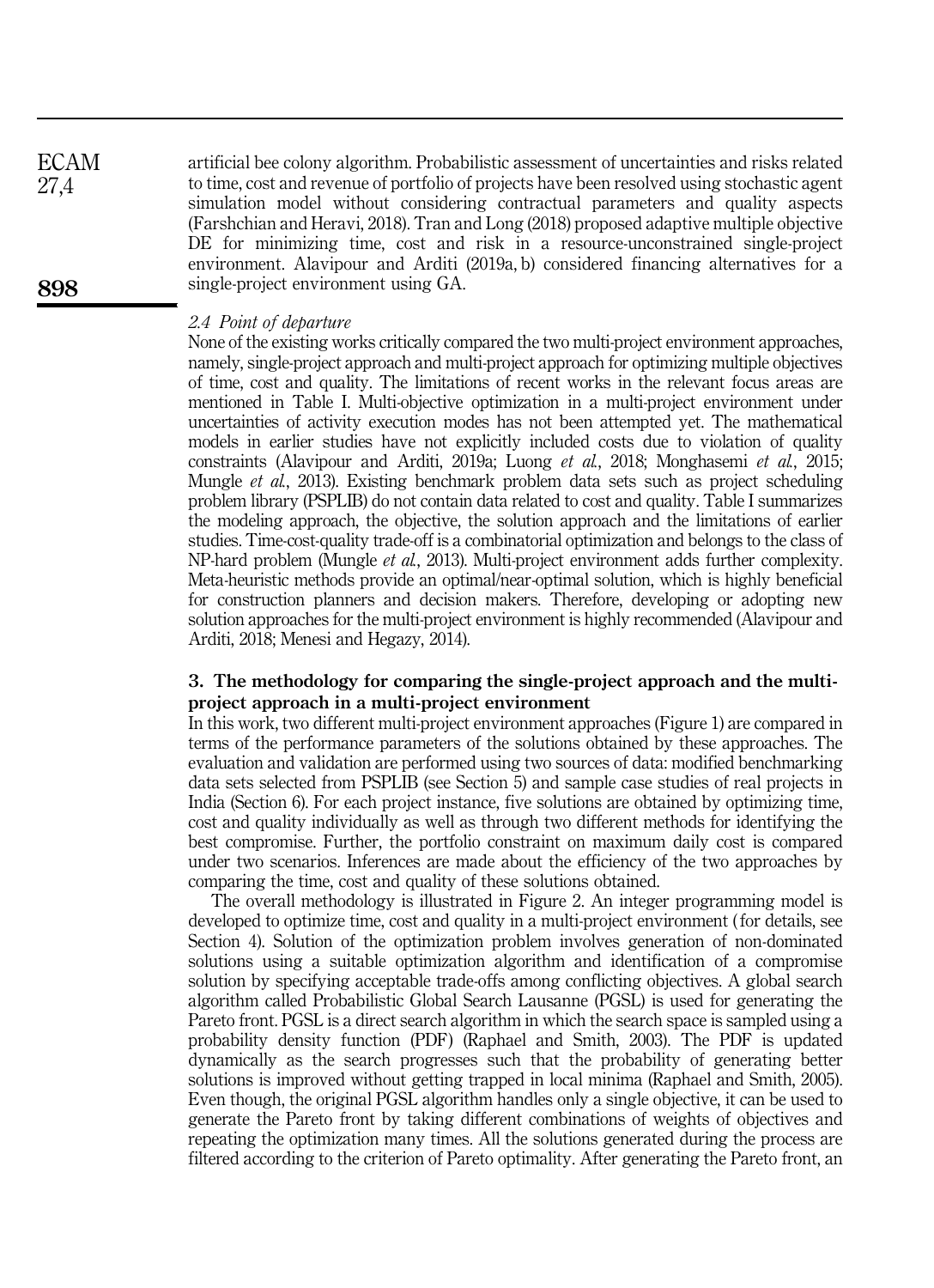artificial bee colony algorithm. Probabilistic assessment of uncertainties and risks related to time, cost and revenue of portfolio of projects have been resolved using stochastic agent simulation model without considering contractual parameters and quality aspects (Farshchian and Heravi, 2018). Tran and Long (2018) proposed adaptive multiple objective DE for minimizing time, cost and risk in a resource-unconstrained single-project environment. Alavipour and Arditi (2019a, b) considered financing alternatives for a single-project environment using GA. ECAM 27,4

### *2.4 Point of departure*

None of the existing works critically compared the two multi-project environment approaches, namely, single-project approach and multi-project approach for optimizing multiple objectives of time, cost and quality. The limitations of recent works in the relevant focus areas are mentioned in Table I. Multi-objective optimization in a multi-project environment under uncertainties of activity execution modes has not been attempted yet. The mathematical models in earlier studies have not explicitly included costs due to violation of quality constraints (Alavipour and Arditi, 2019a; Luong *et al.*, 2018; Monghasemi *et al.*, 2015; Mungle *et al.*, 2013). Existing benchmark problem data sets such as project scheduling problem library (PSPLIB) do not contain data related to cost and quality. Table I summarizes the modeling approach, the objective, the solution approach and the limitations of earlier studies. Time-cost-quality trade-off is a combinatorial optimization and belongs to the class of NP-hard problem (Mungle *et al.*, 2013). Multi-project environment adds further complexity. Meta-heuristic methods provide an optimal/near-optimal solution, which is highly beneficial for construction planners and decision makers. Therefore, developing or adopting new solution approaches for the multi-project environment is highly recommended (Alavipour and Arditi, 2018; Menesi and Hegazy, 2014).

# 3. The methodology for comparing the single-project approach and the multiproject approach in a multi-project environment

In this work, two different multi-project environment approaches (Figure 1) are compared in terms of the performance parameters of the solutions obtained by these approaches. The evaluation and validation are performed using two sources of data: modified benchmarking data sets selected from PSPLIB (see Section 5) and sample case studies of real projects in India (Section 6). For each project instance, five solutions are obtained by optimizing time, cost and quality individually as well as through two different methods for identifying the best compromise. Further, the portfolio constraint on maximum daily cost is compared under two scenarios. Inferences are made about the efficiency of the two approaches by comparing the time, cost and quality of these solutions obtained.

The overall methodology is illustrated in Figure 2. An integer programming model is developed to optimize time, cost and quality in a multi-project environment ( for details, see Section 4). Solution of the optimization problem involves generation of non-dominated solutions using a suitable optimization algorithm and identification of a compromise solution by specifying acceptable trade-offs among conflicting objectives. A global search algorithm called Probabilistic Global Search Lausanne (PGSL) is used for generating the Pareto front. PGSL is a direct search algorithm in which the search space is sampled using a probability density function (PDF) (Raphael and Smith, 2003). The PDF is updated dynamically as the search progresses such that the probability of generating better solutions is improved without getting trapped in local minima (Raphael and Smith, 2005). Even though, the original PGSL algorithm handles only a single objective, it can be used to generate the Pareto front by taking different combinations of weights of objectives and repeating the optimization many times. All the solutions generated during the process are filtered according to the criterion of Pareto optimality. After generating the Pareto front, an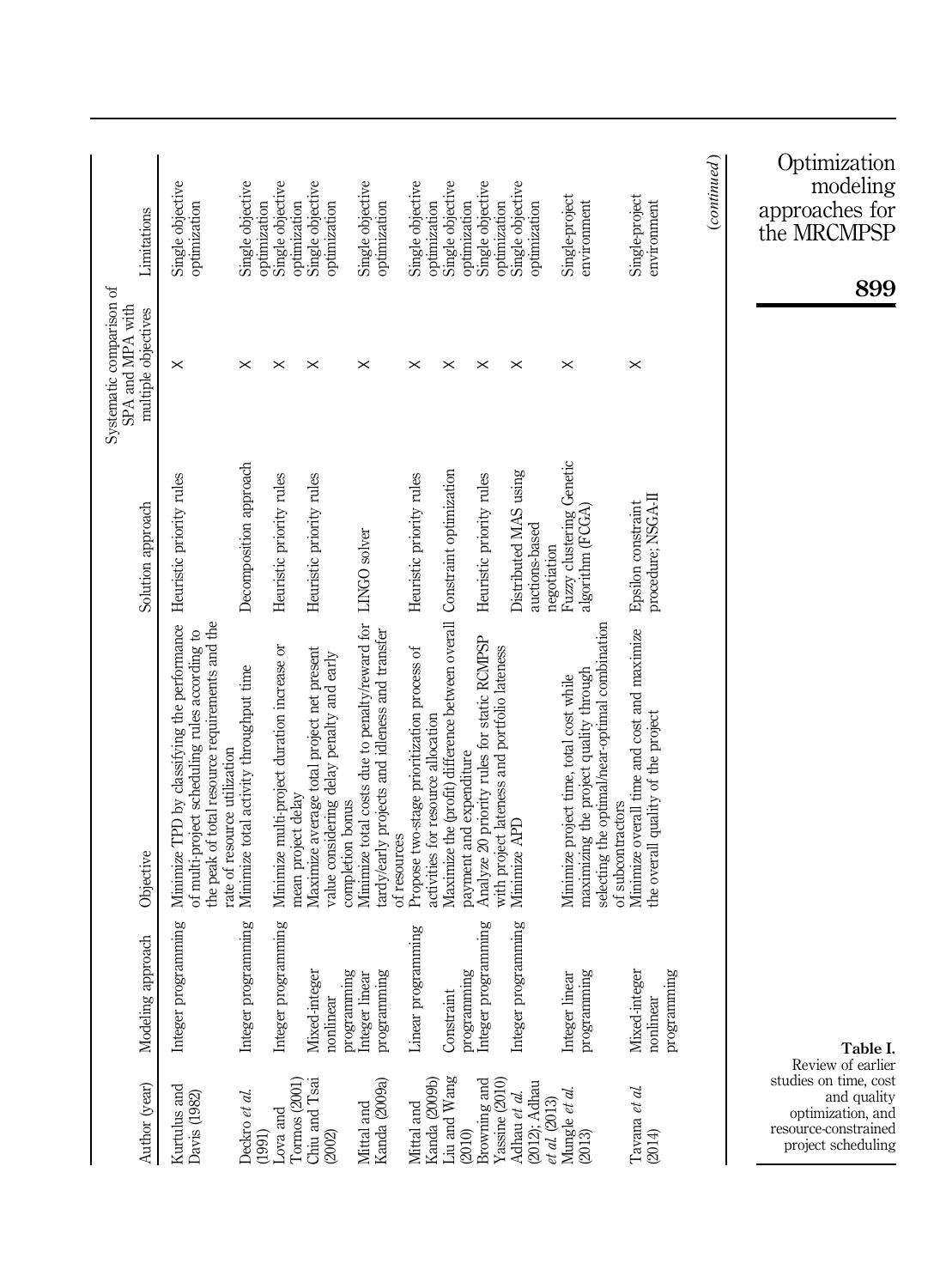| Author (year)                                                                                                                | Modeling approach                         | Objective                                                                                                                                                                        | Solution approach                                      | Systematic comparison of<br>SPA and MPA with<br>multiple objectives | Limitations                                                      |
|------------------------------------------------------------------------------------------------------------------------------|-------------------------------------------|----------------------------------------------------------------------------------------------------------------------------------------------------------------------------------|--------------------------------------------------------|---------------------------------------------------------------------|------------------------------------------------------------------|
| Kurtulus and<br>Davis (1982)                                                                                                 | Integer programming                       | Minimize TPD by classifying the performance<br>the peak of total resource requirements and the<br>of multi-project scheduling rules according to<br>rate of resource utilization | Heuristic priority rules                               | $\times$                                                            | Single objective<br>optimization                                 |
| Deckro et al.<br>(1991)                                                                                                      | Integer programming                       | Minimize total activity throughput time                                                                                                                                          | Decomposition approach                                 | $\times$                                                            | Single objective<br>optimization                                 |
| Tormos (2001)<br>Lova and                                                                                                    | Integer programming                       | Minimize multi-project duration increase or<br>mean project delay                                                                                                                | Heuristic priority rules                               | $\times$                                                            | Single objective<br>optimization                                 |
| Chiu and Tsai<br>(2002)                                                                                                      | Mixed-integer<br>programming<br>nonlinear | Maximize average total project net present<br>value considering delay penalty and early<br>completion bonus                                                                      | Heuristic priority rules                               | $\times$                                                            | Single objective<br>optimization                                 |
| Kanda (2009a)<br>Mittal and                                                                                                  | programming<br>Integer linear             | Minimize total costs due to penalty/reward for<br>tardy/early projects and idleness and transfer<br>of resources                                                                 | LINGO solver                                           | $\times$                                                            | Single objective<br>optimization                                 |
| Kanda (2009b)<br>Mittal and                                                                                                  | Linear programming                        | Propose two-stage prioritization process of<br>activities for resource allocation                                                                                                | Heuristic priority rules                               | $\times$                                                            | Single objective<br>optimization                                 |
| Liu and Wang<br>(2010)                                                                                                       | programming<br>Constraint                 | Maximize the (profit) difference between overall Constraint optimization<br>payment and expenditure                                                                              |                                                        | $\times$                                                            | Single objective<br>optimization                                 |
| Browning and<br>Yassine (2010)                                                                                               | Integer programming                       | Analyze 20 priority rules for static RCMPSP<br>with project lateness and portfolio lateness                                                                                      | Heuristic priority rules                               | $\times$                                                            | Single objective<br>optimization                                 |
| (2012); Adhau<br>Adhau et al.<br>$et\ al\ (2013)$                                                                            | Integer programming                       | Minimize APD                                                                                                                                                                     | Distributed MAS using<br>auctions-based<br>negotiation | $\times$                                                            | Single objective<br>optimization                                 |
| Mungle <i>et al.</i><br>(2013)                                                                                               | programming<br>Integer linear             | selecting the optimal/near-optimal combination<br>maximizing the project quality through<br>Minimize project time, total cost while<br>of subcontractors                         | Fuzzy clustering Genetic<br>algorithm (FCGA)           | $\times$                                                            | Single-project<br>environment                                    |
| Tavana et al.<br>(2014)                                                                                                      | Mixed-integer<br>programming<br>nonlinear | Minimize overall time and cost and maximize<br>the overall quality of the project                                                                                                | procedure; NSGA-II<br>Epsilon constraint               | $\times$                                                            | Single-project<br>environment                                    |
|                                                                                                                              |                                           |                                                                                                                                                                                  |                                                        |                                                                     | (continued)                                                      |
| Review of earlier<br>studies on time, cost<br>and quality<br>optimization, and<br>resource-constrained<br>project scheduling | Table I.                                  |                                                                                                                                                                                  |                                                        |                                                                     | Optimization<br>modeling<br>approaches for<br>the MRCMPSP<br>899 |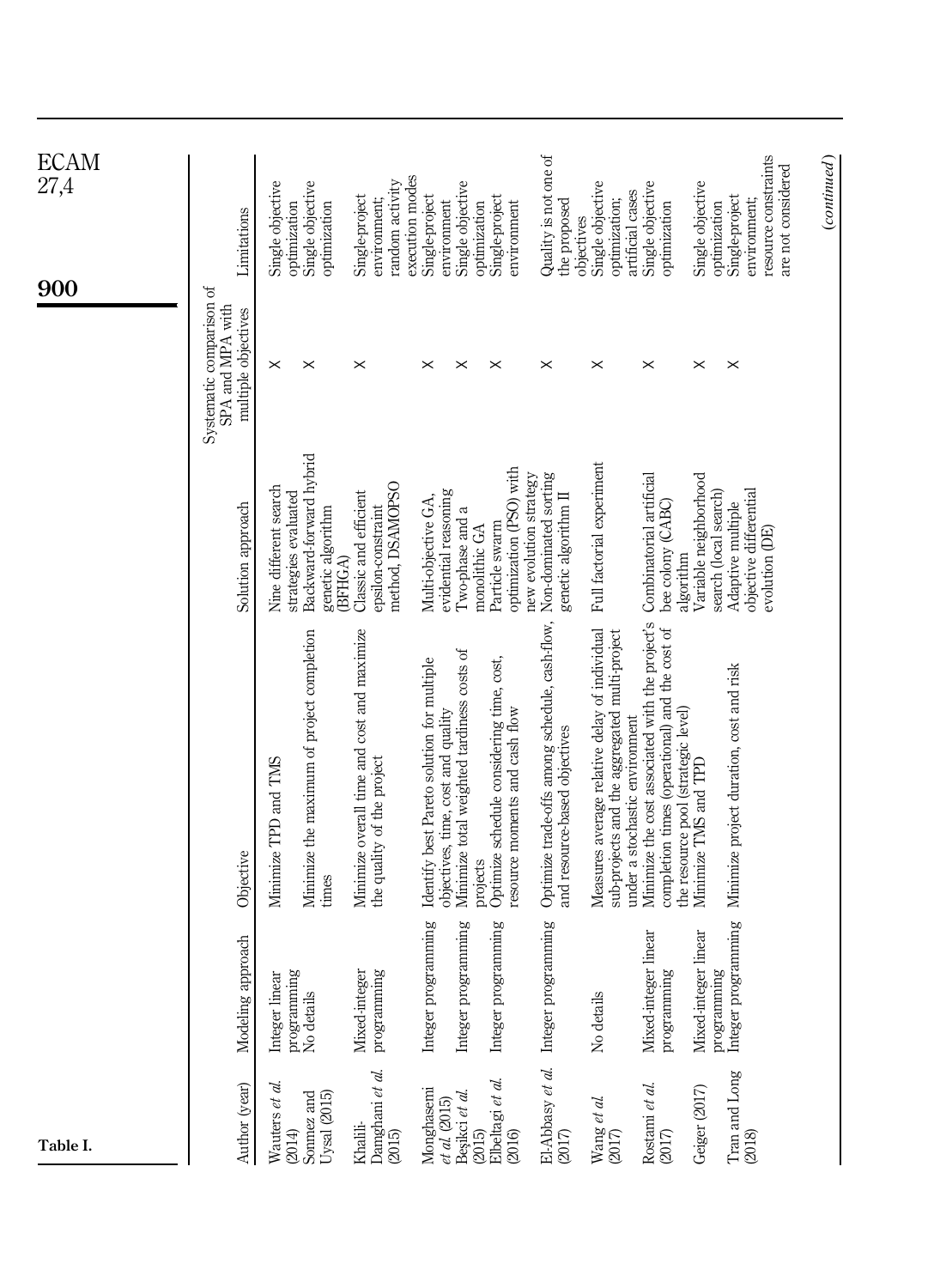| Table I.                                                          |                           |                                                                                 |                                                   | 900                                                                 | ECAM<br>27,4                         |
|-------------------------------------------------------------------|---------------------------|---------------------------------------------------------------------------------|---------------------------------------------------|---------------------------------------------------------------------|--------------------------------------|
| Author (year)                                                     | pproach<br>Modeling ap    | Objective                                                                       | Solution approach                                 | Systematic comparison of<br>SPA and MPA with<br>multiple objectives | Limitations                          |
| Wauters et al.                                                    | Integer linear            | Minimize TPD and TMS                                                            | Nine different search                             | $\times$                                                            | Single objective                     |
| Sonmez and<br>(2014)                                              | programming<br>No details | Minimize the maximum of project completion                                      | Backward-forward hybrid<br>strategies evaluated   | $\times$                                                            | Single objective<br>optimization     |
| $U$ ysal $(2015)$                                                 |                           | times                                                                           | genetic algorithm<br>(BFHGA)                      |                                                                     | optimization                         |
| Khalili-                                                          | Mixed-integer             | Minimize overall time and cost and maximize                                     | Classic and efficient                             | $\times$                                                            | Single-project                       |
| Damghani <i>et al.</i><br>(2015)                                  | programming               | the quality of the project                                                      | epsilon-constraint                                |                                                                     | environment;                         |
|                                                                   |                           |                                                                                 | method, DSAMOPSO                                  |                                                                     | execution modes<br>random activity   |
| Monghasemi                                                        | Integer programming       | Identify best Pareto solution for multiple                                      | Multi-objective GA,                               | $\times$                                                            | Single-project                       |
| $et$ al. (2015)<br>Beşikci $et$ al.                               |                           | objectives, time, cost and quality                                              | evidential reasoning                              |                                                                     | environment                          |
|                                                                   | Integer programming       | Minimize total weighted tardiness costs of                                      | Two-phase and a                                   | $\times$                                                            | Single objective                     |
| (2015)                                                            |                           | projects                                                                        | monolithic GA                                     |                                                                     | optimization                         |
| Elbeltagi et al.                                                  | Integer programming       | Optimize schedule considering time, cost,                                       | Particle swarm                                    | $\times$                                                            | Single-project                       |
| (2016)                                                            |                           | resource moments and cash flow                                                  | optimization (PSO) with<br>new evolution strategy |                                                                     | environment                          |
| El-Abbasy et al.                                                  | Integer programming       | Optimize trade-offs among schedule, cash-flow,                                  | Non-dominated sorting                             | $\times$                                                            | Quality is not one of                |
| (2017)                                                            |                           | and resource-based objectives                                                   | genetic algorithm II                              |                                                                     | the proposed<br>objectives           |
| $\begin{array}{l} \text{Wang et al.}\\ \text{(2017)} \end{array}$ | No details                | Measures average relative delay of individual                                   | Full factorial experiment                         | $\times$                                                            | Single objective                     |
|                                                                   |                           | sub-projects and the aggregated multi-project<br>under a stochastic environment |                                                   |                                                                     | artificial cases<br>optimization;    |
| Rostami et al.                                                    | Mixed-integer linear      | Minimize the cost associated with the project's                                 | Combinatorial artificial                          | $\times$                                                            | Single objective                     |
| $(2017)$                                                          | ğρ<br>programmir          | completion times (operational) and the cost of                                  | bee colony (CABC)<br>algorithm                    |                                                                     | optimization                         |
| Geiger (2017)                                                     | Mixed-integer linear      | the resource pool (strategic level)<br>Minimize TMS and TPD                     | Variable neighborhood                             | $\times$                                                            | Single objective                     |
|                                                                   | programming               |                                                                                 | search (local search)                             |                                                                     | optimization                         |
| Tran and Long<br>(2018)                                           | Integer programming       | Minimize project duration, cost and risk                                        | objective differential<br>Adaptive multiple       | $\times$                                                            | Single-project                       |
|                                                                   |                           |                                                                                 | evolution (DE)                                    |                                                                     | resource constraints<br>environment; |
|                                                                   |                           |                                                                                 |                                                   |                                                                     | are not considered                   |
|                                                                   |                           |                                                                                 |                                                   |                                                                     | (continued)                          |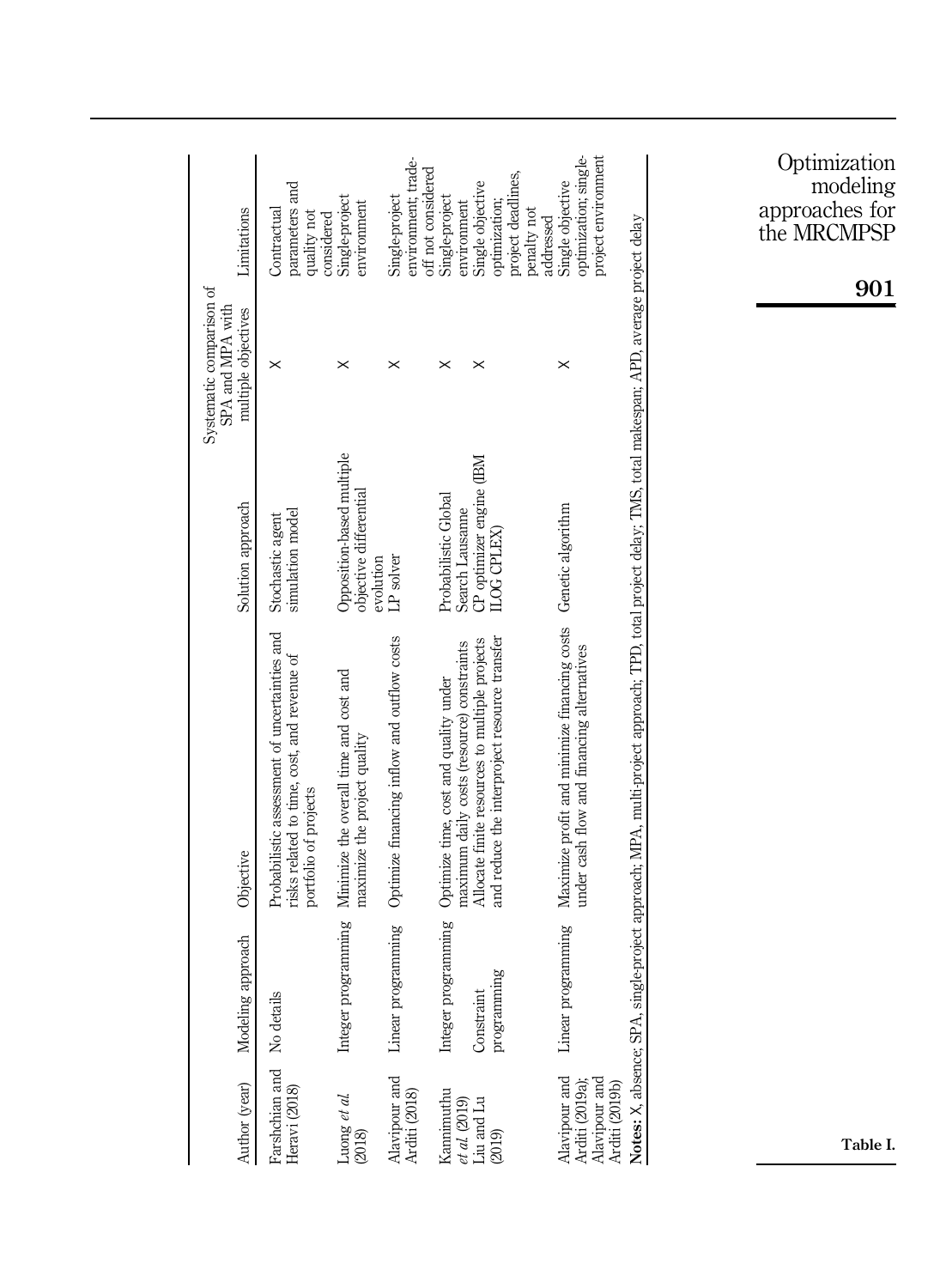| Probabilistic assessment of uncertainties and                                                   | Solution approach                                                | SPA and MPA with<br>multiple objectives | Limitations                                                                                                                  |
|-------------------------------------------------------------------------------------------------|------------------------------------------------------------------|-----------------------------------------|------------------------------------------------------------------------------------------------------------------------------|
| risks related to time, cost, and revenue of<br>portfolio of projects                            | simulation model<br>Stochastic agent                             | ×                                       | parameters and<br>Contractual<br>quality not<br>considered                                                                   |
| Minimize the overall time and cost and<br>maximize the project quality                          | Opposition-based multiple<br>objective differential<br>evolution | ×                                       | Single-project<br>environment                                                                                                |
| Optimize financing inflow and outflow costs                                                     | LP solver                                                        | ×                                       | environment; trade-<br>off not considered<br>Single-project                                                                  |
| maximum daily costs (resource) constraints<br>Optimize time, cost and quality under             | Probabilistic Global<br>Search Lausanne                          | ×                                       | Single-project<br>environment                                                                                                |
| and reduce the interproject resource transfer<br>Allocate finite resources to multiple projects | CP optimizer engine (IBM                                         | ×                                       | project deadlines,<br>Single objective<br>optimization;<br>penalty not<br>addressed                                          |
| Maximize profit and minimize financing costs<br>under cash flow and financing alternatives      |                                                                  | ×                                       | optimization; single-<br>project environment<br>Single objective                                                             |
|                                                                                                 |                                                                  |                                         |                                                                                                                              |
|                                                                                                 |                                                                  | Genetic algorithm<br>ILOG CPLEX)        | gle-project approach; MPA, multi-project approach; TPD, total project delay; TMS, total makespan; APD, average project delay |

Optimization modeling approaches for the MRCMPSP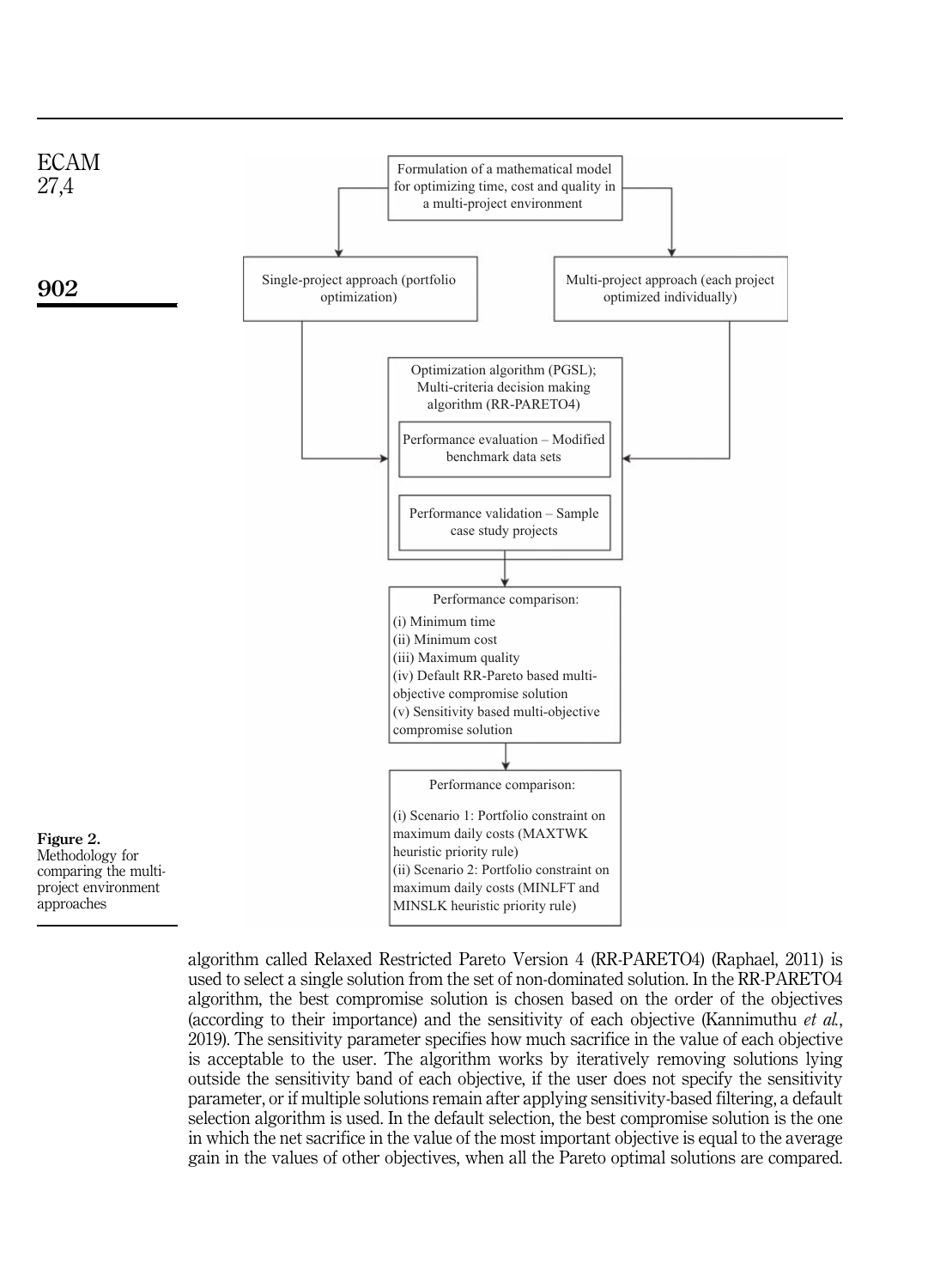

algorithm called Relaxed Restricted Pareto Version 4 (RR-PARETO4) (Raphael, 2011) is used to select a single solution from the set of non-dominated solution. In the RR-PARETO4 algorithm, the best compromise solution is chosen based on the order of the objectives (according to their importance) and the sensitivity of each objective (Kannimuthu *et al.*, 2019). The sensitivity parameter specifies how much sacrifice in the value of each objective is acceptable to the user. The algorithm works by iteratively removing solutions lying outside the sensitivity band of each objective, if the user does not specify the sensitivity parameter, or if multiple solutions remain after applying sensitivity-based filtering, a default selection algorithm is used. In the default selection, the best compromise solution is the one in which the net sacrifice in the value of the most important objective is equal to the average gain in the values of other objectives, when all the Pareto optimal solutions are compared.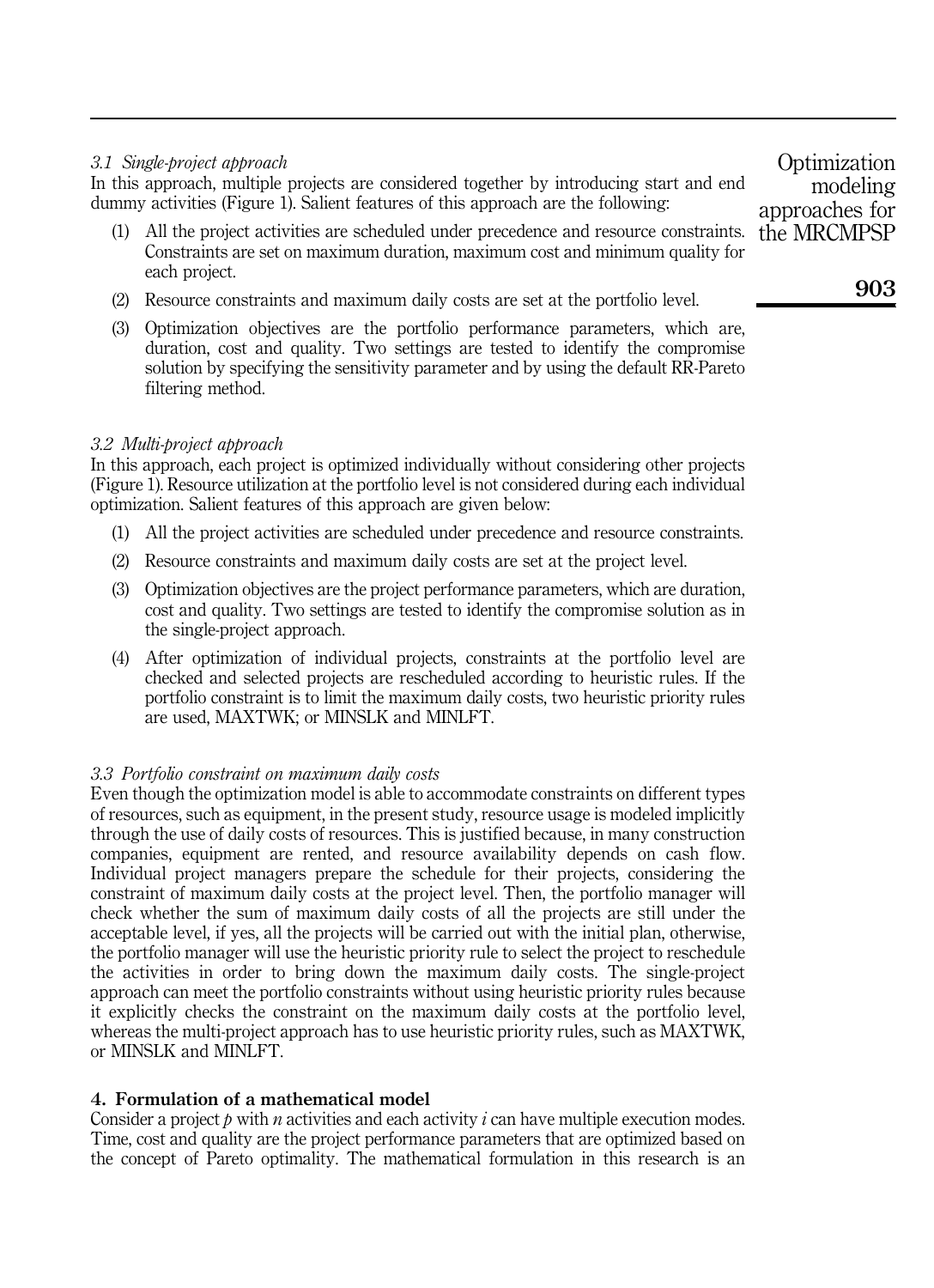# *3.1 Single-project approach*

In this approach, multiple projects are considered together by introducing start and end dummy activities (Figure 1). Salient features of this approach are the following:

- (1) All the project activities are scheduled under precedence and resource constraints. Constraints are set on maximum duration, maximum cost and minimum quality for each project.
- (2) Resource constraints and maximum daily costs are set at the portfolio level.
- (3) Optimization objectives are the portfolio performance parameters, which are, duration, cost and quality. Two settings are tested to identify the compromise solution by specifying the sensitivity parameter and by using the default RR-Pareto filtering method.

# *3.2 Multi-project approach*

In this approach, each project is optimized individually without considering other projects (Figure 1). Resource utilization at the portfolio level is not considered during each individual optimization. Salient features of this approach are given below:

- (1) All the project activities are scheduled under precedence and resource constraints.
- (2) Resource constraints and maximum daily costs are set at the project level.
- (3) Optimization objectives are the project performance parameters, which are duration, cost and quality. Two settings are tested to identify the compromise solution as in the single-project approach.
- (4) After optimization of individual projects, constraints at the portfolio level are checked and selected projects are rescheduled according to heuristic rules. If the portfolio constraint is to limit the maximum daily costs, two heuristic priority rules are used, MAXTWK; or MINSLK and MINLFT.

# *3.3 Portfolio constraint on maximum daily costs*

Even though the optimization model is able to accommodate constraints on different types of resources, such as equipment, in the present study, resource usage is modeled implicitly through the use of daily costs of resources. This is justified because, in many construction companies, equipment are rented, and resource availability depends on cash flow. Individual project managers prepare the schedule for their projects, considering the constraint of maximum daily costs at the project level. Then, the portfolio manager will check whether the sum of maximum daily costs of all the projects are still under the acceptable level, if yes, all the projects will be carried out with the initial plan, otherwise, the portfolio manager will use the heuristic priority rule to select the project to reschedule the activities in order to bring down the maximum daily costs. The single-project approach can meet the portfolio constraints without using heuristic priority rules because it explicitly checks the constraint on the maximum daily costs at the portfolio level, whereas the multi-project approach has to use heuristic priority rules, such as MAXTWK, or MINSLK and MINLFT.

# 4. Formulation of a mathematical model

Consider a project *p* with *n* activities and each activity *i* can have multiple execution modes. Time, cost and quality are the project performance parameters that are optimized based on the concept of Pareto optimality. The mathematical formulation in this research is an

**Optimization** modeling approaches for the MRCMPSP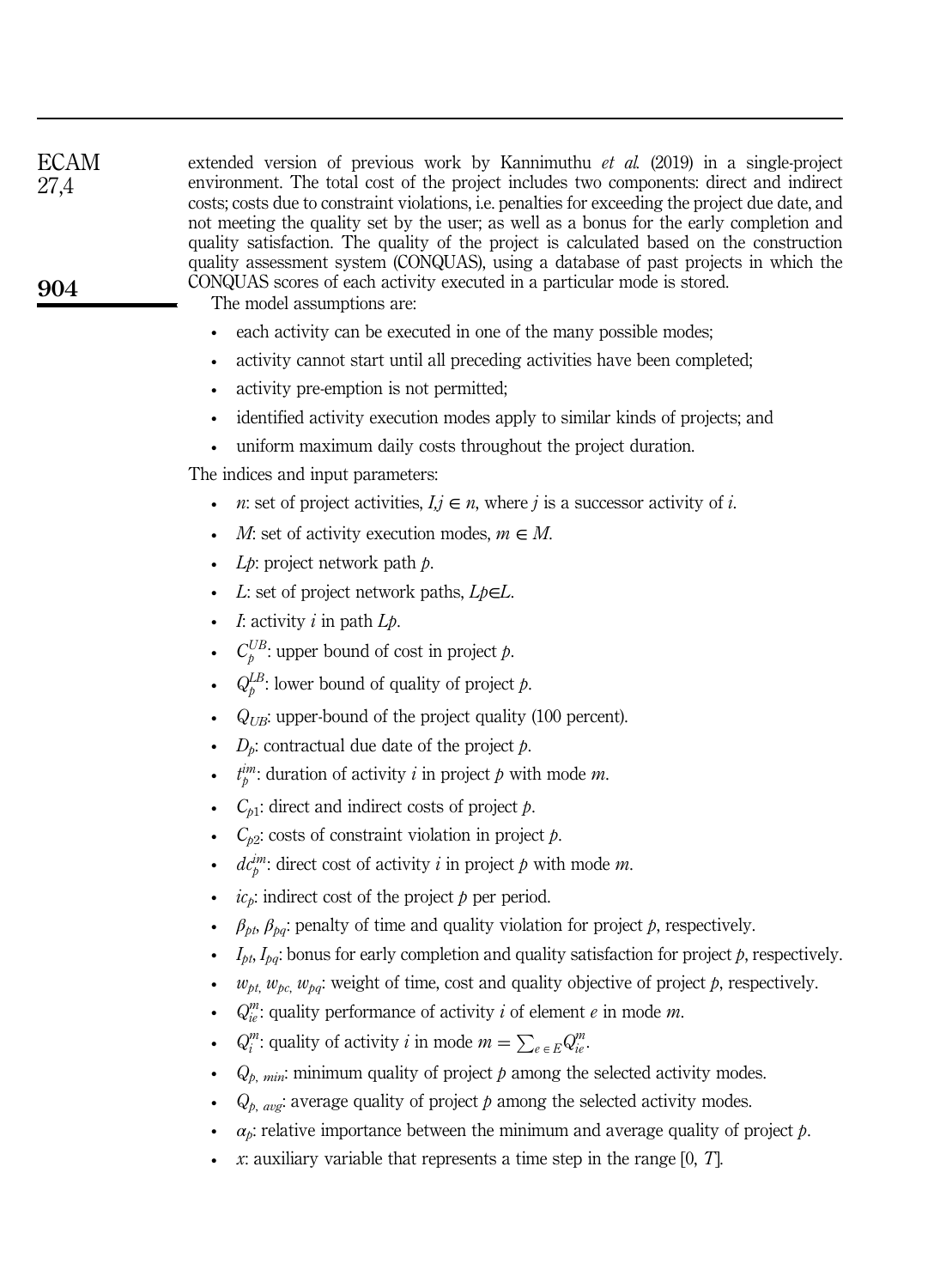| <b>ECAM</b><br>27,4 | extended version of previous work by Kannimuthu <i>et al.</i> (2019) in a single-project<br>environment. The total cost of the project includes two components: direct and indirect<br>costs; costs due to constraint violations, i.e. penalties for exceeding the project due date, and<br>not meeting the quality set by the user; as well as a bonus for the early completion and<br>quality satisfaction. The quality of the project is calculated based on the construction<br>quality assessment system (CONQUAS), using a database of past projects in which the |
|---------------------|-------------------------------------------------------------------------------------------------------------------------------------------------------------------------------------------------------------------------------------------------------------------------------------------------------------------------------------------------------------------------------------------------------------------------------------------------------------------------------------------------------------------------------------------------------------------------|
| 904                 | CONQUAS scores of each activity executed in a particular mode is stored.<br>The model assumptions are:                                                                                                                                                                                                                                                                                                                                                                                                                                                                  |
|                     | each activity can be executed in one of the many possible modes;<br>$\bullet$                                                                                                                                                                                                                                                                                                                                                                                                                                                                                           |
|                     | activity cannot start until all preceding activities have been completed;<br>$\bullet$                                                                                                                                                                                                                                                                                                                                                                                                                                                                                  |
|                     | activity pre-emption is not permitted;<br>$\bullet$                                                                                                                                                                                                                                                                                                                                                                                                                                                                                                                     |
|                     | identified activity execution modes apply to similar kinds of projects; and<br>$\bullet$                                                                                                                                                                                                                                                                                                                                                                                                                                                                                |
|                     | uniform maximum daily costs throughout the project duration.<br>$\bullet$                                                                                                                                                                                                                                                                                                                                                                                                                                                                                               |
|                     | The indices and input parameters:                                                                                                                                                                                                                                                                                                                                                                                                                                                                                                                                       |
|                     | <i>n</i> : set of project activities, $I, j \in n$ , where j is a successor activity of i.                                                                                                                                                                                                                                                                                                                                                                                                                                                                              |
|                     | M: set of activity execution modes, $m \in M$ .<br>$\bullet$                                                                                                                                                                                                                                                                                                                                                                                                                                                                                                            |
|                     | $Lp$ : project network path $p$ .                                                                                                                                                                                                                                                                                                                                                                                                                                                                                                                                       |
|                     | L: set of project network paths, $Lp \in L$ .                                                                                                                                                                                                                                                                                                                                                                                                                                                                                                                           |
|                     | <i>I</i> : activity $i$ in path $Lp$ .                                                                                                                                                                                                                                                                                                                                                                                                                                                                                                                                  |
|                     | $C_b^{UB}$ : upper bound of cost in project p.<br>$\bullet$                                                                                                                                                                                                                                                                                                                                                                                                                                                                                                             |
|                     | $Q_{p}^{LB}$ : lower bound of quality of project p.<br>$\bullet$                                                                                                                                                                                                                                                                                                                                                                                                                                                                                                        |
|                     | $Q_{UB}$ : upper-bound of the project quality (100 percent).<br>$\bullet$                                                                                                                                                                                                                                                                                                                                                                                                                                                                                               |
|                     | $D_p$ : contractual due date of the project p.                                                                                                                                                                                                                                                                                                                                                                                                                                                                                                                          |
|                     | $t_p^{im}$ : duration of activity <i>i</i> in project <i>p</i> with mode <i>m</i> .<br>$\bullet$                                                                                                                                                                                                                                                                                                                                                                                                                                                                        |
|                     | $C_{p1}$ : direct and indirect costs of project p.                                                                                                                                                                                                                                                                                                                                                                                                                                                                                                                      |
|                     | $C_{p2}$ : costs of constraint violation in project p.                                                                                                                                                                                                                                                                                                                                                                                                                                                                                                                  |
|                     | $dc_p^{im}$ : direct cost of activity i in project p with mode m.<br>$\bullet$                                                                                                                                                                                                                                                                                                                                                                                                                                                                                          |
|                     | $icp$ : indirect cost of the project $p$ per period.                                                                                                                                                                                                                                                                                                                                                                                                                                                                                                                    |
|                     | $\beta_{pt}$ , $\beta_{pq}$ : penalty of time and quality violation for project p, respectively.                                                                                                                                                                                                                                                                                                                                                                                                                                                                        |
|                     | $I_{pt}$ , $I_{pq}$ : bonus for early completion and quality satisfaction for project p, respectively.                                                                                                                                                                                                                                                                                                                                                                                                                                                                  |
|                     | $w_{pt}$ , $w_{pc}$ , $w_{pq}$ : weight of time, cost and quality objective of project $p$ , respectively.                                                                                                                                                                                                                                                                                                                                                                                                                                                              |
|                     | $Q_{ie}^{m}$ : quality performance of activity <i>i</i> of element <i>e</i> in mode <i>m</i> .                                                                                                                                                                                                                                                                                                                                                                                                                                                                          |
|                     | $Q_i^m$ : quality of activity <i>i</i> in mode $m = \sum_{e \in E} Q_{ie}^m$ .                                                                                                                                                                                                                                                                                                                                                                                                                                                                                          |
|                     | $Q_{p, min}$ : minimum quality of project p among the selected activity modes.<br>$\bullet$                                                                                                                                                                                                                                                                                                                                                                                                                                                                             |
|                     | $Q_{p, avg}$ : average quality of project $p$ among the selected activity modes.                                                                                                                                                                                                                                                                                                                                                                                                                                                                                        |
|                     | $\alpha_p$ : relative importance between the minimum and average quality of project p.<br>$\bullet$                                                                                                                                                                                                                                                                                                                                                                                                                                                                     |
|                     | x: auxiliary variable that represents a time step in the range $[0, T]$ .                                                                                                                                                                                                                                                                                                                                                                                                                                                                                               |
|                     |                                                                                                                                                                                                                                                                                                                                                                                                                                                                                                                                                                         |
|                     |                                                                                                                                                                                                                                                                                                                                                                                                                                                                                                                                                                         |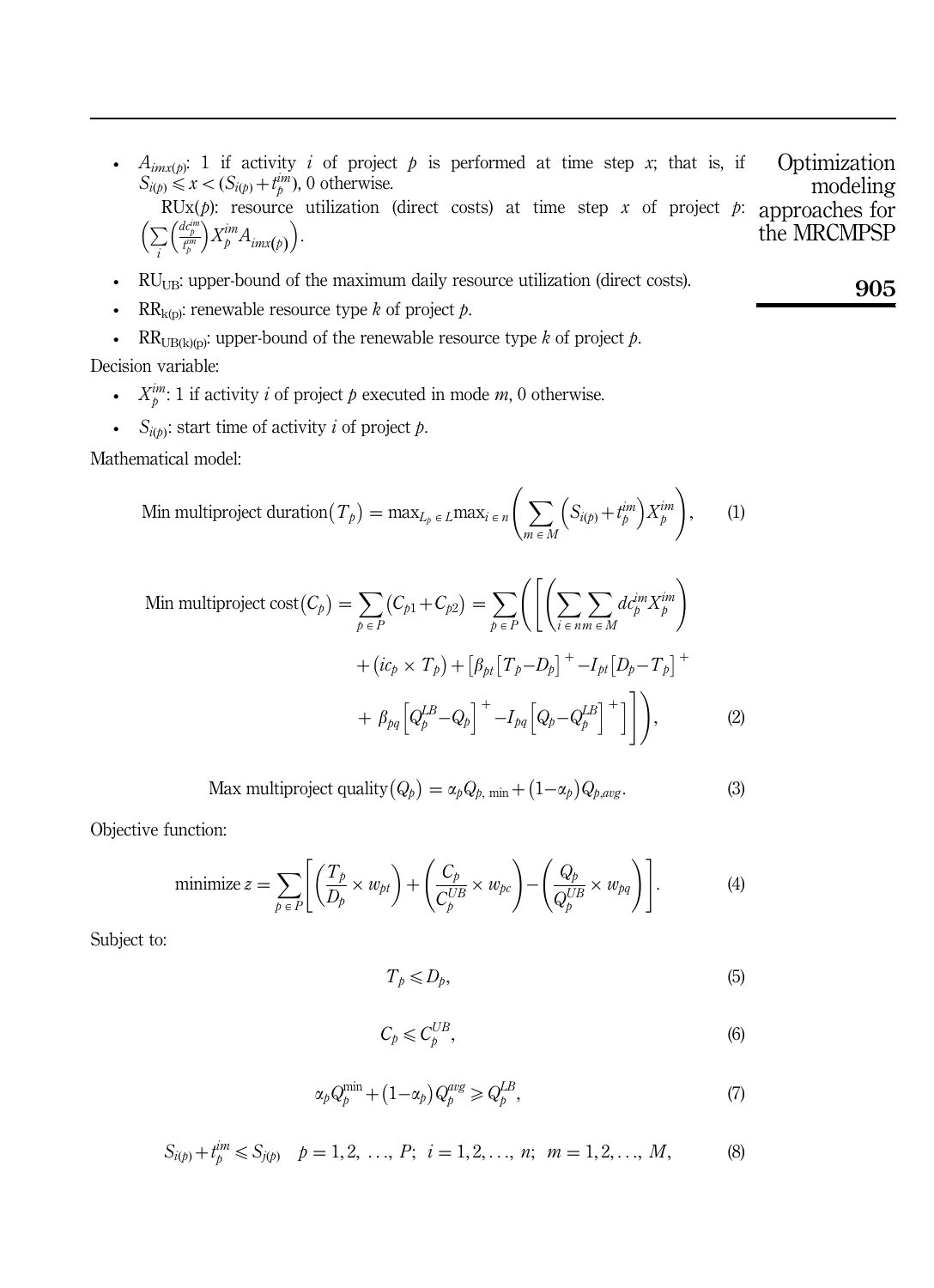•  $A_{imx(p)}$ : 1 if activity *i* of project *p* is performed at time step *x*; that is, if  $S_{i(p)} \leq x < (S_{i(p)} + t_p^{\text{im}})$ , 0 otherwise. **Optimization** modeling

RUx( $p$ ): resource utilization (direct costs) at time step  $x$  of project  $p$ :  $\left(\sum_{i}\right)$  $\left(\frac{dc^{im}_{p}}{t^{im}_{p}}\right)$  $(X_p^{im}A_{imx(p)})$ . approaches for the MRCMPSP

- $RU_{UB}$ : upper-bound of the maximum daily resource utilization (direct costs).
- RR<sub>k(p)</sub>: renewable resource type *k* of project  $p$ .
- RR<sub>UB(k)(p)</sub>: upper-bound of the renewable resource type *k* of project  $p$ .

Decision variable:

- $X_p^m: 1$  if activity *i* of project *p* executed in mode *m*, 0 otherwise.
- $S_{i(p)}$ : start time of activity *i* of project *p*.

Mathematical model:

Min multiproject duration 
$$
(T_p)
$$
 = max<sub>L<sub>p</sub> \in L max<sub>i</sub> \in n</sub>  $\left( \sum_{m \in M} \left( S_{i(p)} + t_p^{im} \right) X_p^{im} \right)$ , (1)

Min multiproject cost 
$$
(C_p)
$$
 =  $\sum_{p \in P} (C_{p1} + C_{p2}) = \sum_{p \in P} \left( \left[ \left( \sum_{i \in nm} \sum_{j \in M} d_{p}^{im} X_{p}^{im} \right) + (ic_p \times T_p) + \left[ \beta_{pt} \left[ T_p - D_p \right]^{+} - I_{pt} \left[ D_p - T_p \right]^{+} \right] + \beta_{pq} \left[ Q_p^{LB} - Q_p \right]^{+} - I_{pq} \left[ Q_p - Q_p^{LB} \right]^{+} \right] \right),$  (2)

$$
\text{Max multiproject quality} (Q_p) = \alpha_p Q_{p, \text{min}} + (1 - \alpha_p) Q_{p, avg}. \tag{3}
$$

Objective function:

minimize 
$$
z = \sum_{p \in P} \left[ \left( \frac{T_p}{D_p} \times w_{pt} \right) + \left( \frac{C_p}{C_p^{UB}} \times w_{pc} \right) - \left( \frac{Q_p}{Q_p^{UB}} \times w_{pq} \right) \right].
$$
 (4)

Subject to:

$$
T_p \le D_p,\tag{5}
$$

$$
C_p \leqslant C_p^{UB},\tag{6}
$$

$$
\alpha_p Q_p^{\min} + (1 - \alpha_p) Q_p^{avg} \geq Q_p^{LB},\tag{7}
$$

$$
S_{i(p)} + t_p^{im} \leq S_{j(p)} \quad p = 1, 2, \dots, P; \quad i = 1, 2, \dots, n; \quad m = 1, 2, \dots, M,
$$
 (8)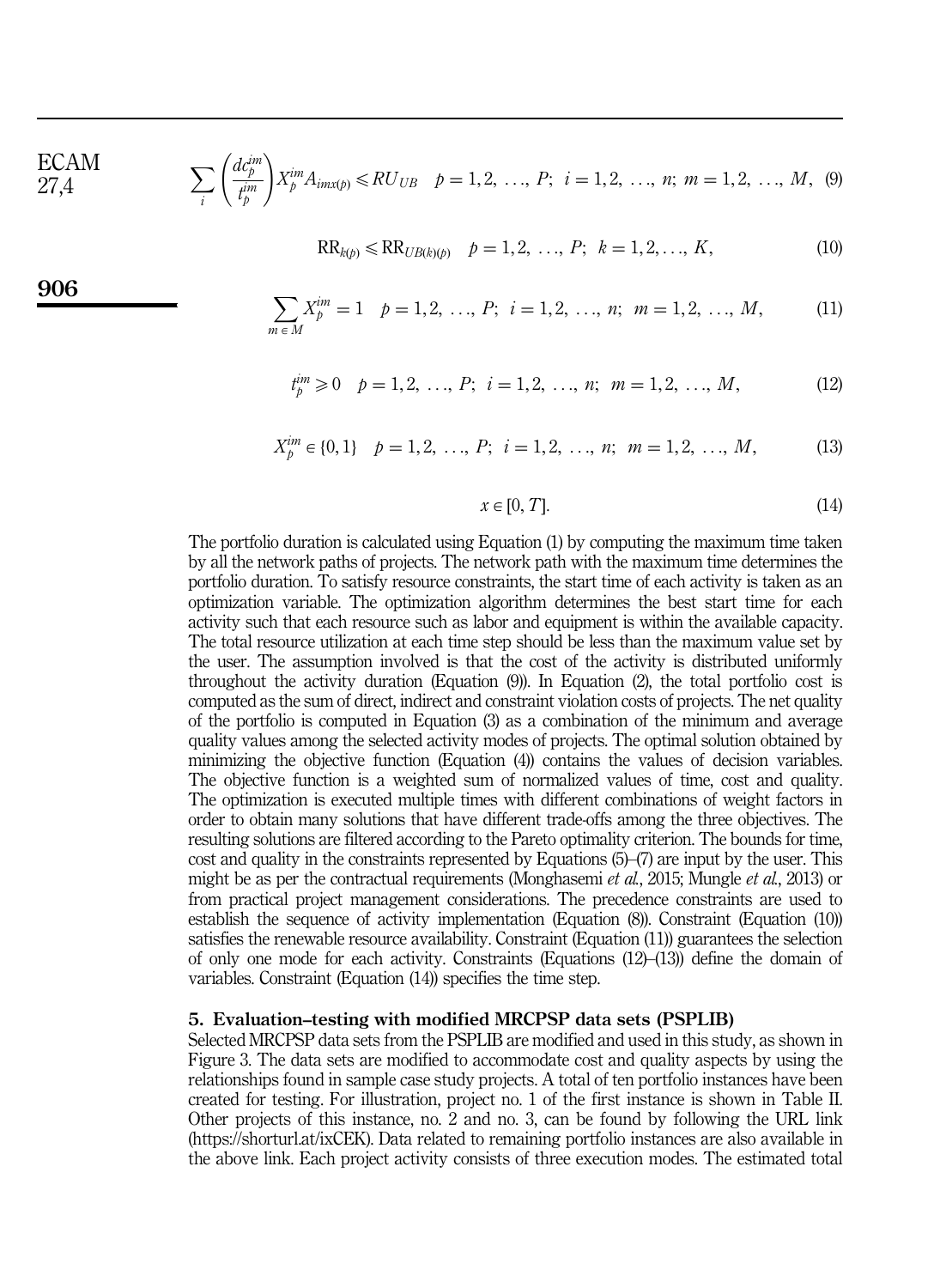ECAM 27,4

906

$$
\sum_{i} \left( \frac{d c_p^{im}}{t_p^{im}} \right) X_p^{im} A_{imx(p)} \leq R U_{UB} \quad p = 1, 2, \dots, P; \quad i = 1, 2, \dots, n; \ m = 1, 2, \dots, M, \tag{9}
$$

$$
RR_{k(p)} \leqslant RR_{UB(k)(p)} \quad p = 1, 2, \ldots, P; \quad k = 1, 2, \ldots, K,
$$
\n<sup>(10)</sup>

$$
\sum_{m \in M} X_p^{im} = 1 \quad p = 1, 2, \dots, P; \quad i = 1, 2, \dots, n; \quad m = 1, 2, \dots, M,
$$
 (11)

$$
t_p^{\text{im}} \ge 0 \quad p = 1, 2, \dots, P; \quad i = 1, 2, \dots, n; \quad m = 1, 2, \dots, M,
$$
 (12)

$$
X_p^{im} \in \{0, 1\} \quad p = 1, 2, \dots, P; \quad i = 1, 2, \dots, n; \quad m = 1, 2, \dots, M,
$$
 (13)

$$
x \in [0, T]. \tag{14}
$$

The portfolio duration is calculated using Equation (1) by computing the maximum time taken by all the network paths of projects. The network path with the maximum time determines the portfolio duration. To satisfy resource constraints, the start time of each activity is taken as an optimization variable. The optimization algorithm determines the best start time for each activity such that each resource such as labor and equipment is within the available capacity. The total resource utilization at each time step should be less than the maximum value set by the user. The assumption involved is that the cost of the activity is distributed uniformly throughout the activity duration (Equation (9)). In Equation (2), the total portfolio cost is computed as the sum of direct, indirect and constraint violation costs of projects. The net quality of the portfolio is computed in Equation (3) as a combination of the minimum and average quality values among the selected activity modes of projects. The optimal solution obtained by minimizing the objective function (Equation (4)) contains the values of decision variables. The objective function is a weighted sum of normalized values of time, cost and quality. The optimization is executed multiple times with different combinations of weight factors in order to obtain many solutions that have different trade-offs among the three objectives. The resulting solutions are filtered according to the Pareto optimality criterion. The bounds for time, cost and quality in the constraints represented by Equations (5)–(7) are input by the user. This might be as per the contractual requirements (Monghasemi *et al.*, 2015; Mungle *et al.*, 2013) or from practical project management considerations. The precedence constraints are used to establish the sequence of activity implementation (Equation (8)). Constraint (Equation (10)) satisfies the renewable resource availability. Constraint (Equation (11)) guarantees the selection of only one mode for each activity. Constraints (Equations (12)–(13)) define the domain of variables. Constraint (Equation (14)) specifies the time step.

## 5. Evaluation–testing with modified MRCPSP data sets (PSPLIB)

Selected MRCPSP data sets from the PSPLIB are modified and used in this study, as shown in Figure 3. The data sets are modified to accommodate cost and quality aspects by using the relationships found in sample case study projects. A total of ten portfolio instances have been created for testing. For illustration, project no. 1 of the first instance is shown in Table II. Other projects of this instance, no. 2 and no. 3, can be found by following the URL link (https://shorturl.at/ixCEK). Data related to remaining portfolio instances are also available in the above link. Each project activity consists of three execution modes. The estimated total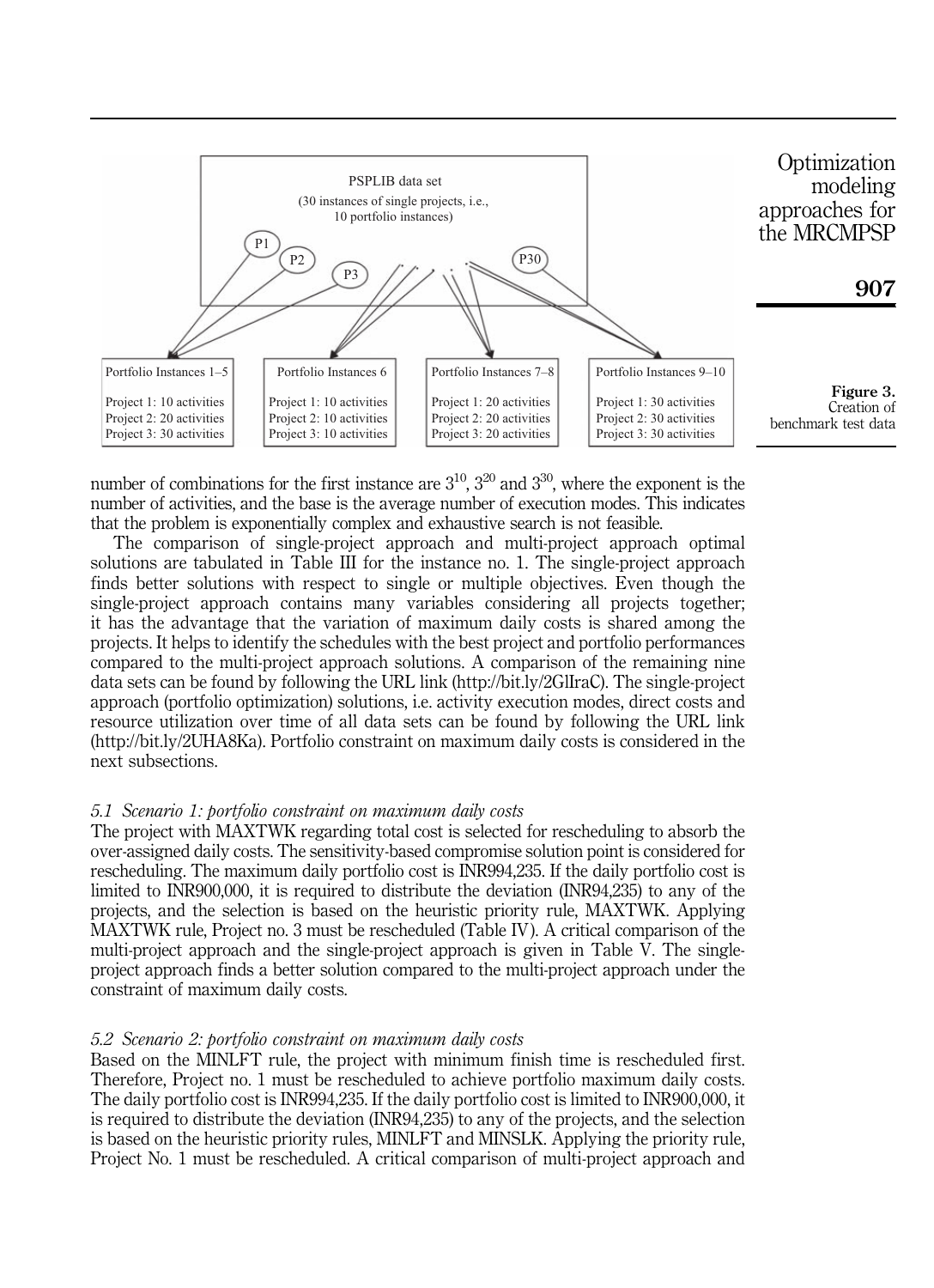

number of combinations for the first instance are  $3^{10}$ ,  $3^{20}$  and  $3^{30}$ , where the exponent is the number of activities, and the base is the average number of execution modes. This indicates that the problem is exponentially complex and exhaustive search is not feasible.

The comparison of single-project approach and multi-project approach optimal solutions are tabulated in Table III for the instance no. 1. The single-project approach finds better solutions with respect to single or multiple objectives. Even though the single-project approach contains many variables considering all projects together; it has the advantage that the variation of maximum daily costs is shared among the projects. It helps to identify the schedules with the best project and portfolio performances compared to the multi-project approach solutions. A comparison of the remaining nine data sets can be found by following the URL link (http://bit.ly/2GlIraC). The single-project approach (portfolio optimization) solutions, i.e. activity execution modes, direct costs and resource utilization over time of all data sets can be found by following the URL link (http://bit.ly/2UHA8Ka). Portfolio constraint on maximum daily costs is considered in the next subsections.

#### *5.1 Scenario 1: portfolio constraint on maximum daily costs*

The project with MAXTWK regarding total cost is selected for rescheduling to absorb the over-assigned daily costs. The sensitivity-based compromise solution point is considered for rescheduling. The maximum daily portfolio cost is INR994,235. If the daily portfolio cost is limited to INR900,000, it is required to distribute the deviation (INR94,235) to any of the projects, and the selection is based on the heuristic priority rule, MAXTWK. Applying MAXTWK rule, Project no. 3 must be rescheduled (Table IV). A critical comparison of the multi-project approach and the single-project approach is given in Table V. The singleproject approach finds a better solution compared to the multi-project approach under the constraint of maximum daily costs.

### *5.2 Scenario 2: portfolio constraint on maximum daily costs*

Based on the MINLFT rule, the project with minimum finish time is rescheduled first. Therefore, Project no. 1 must be rescheduled to achieve portfolio maximum daily costs. The daily portfolio cost is INR994,235. If the daily portfolio cost is limited to INR900,000, it is required to distribute the deviation (INR94,235) to any of the projects, and the selection is based on the heuristic priority rules, MINLFT and MINSLK. Applying the priority rule, Project No. 1 must be rescheduled. A critical comparison of multi-project approach and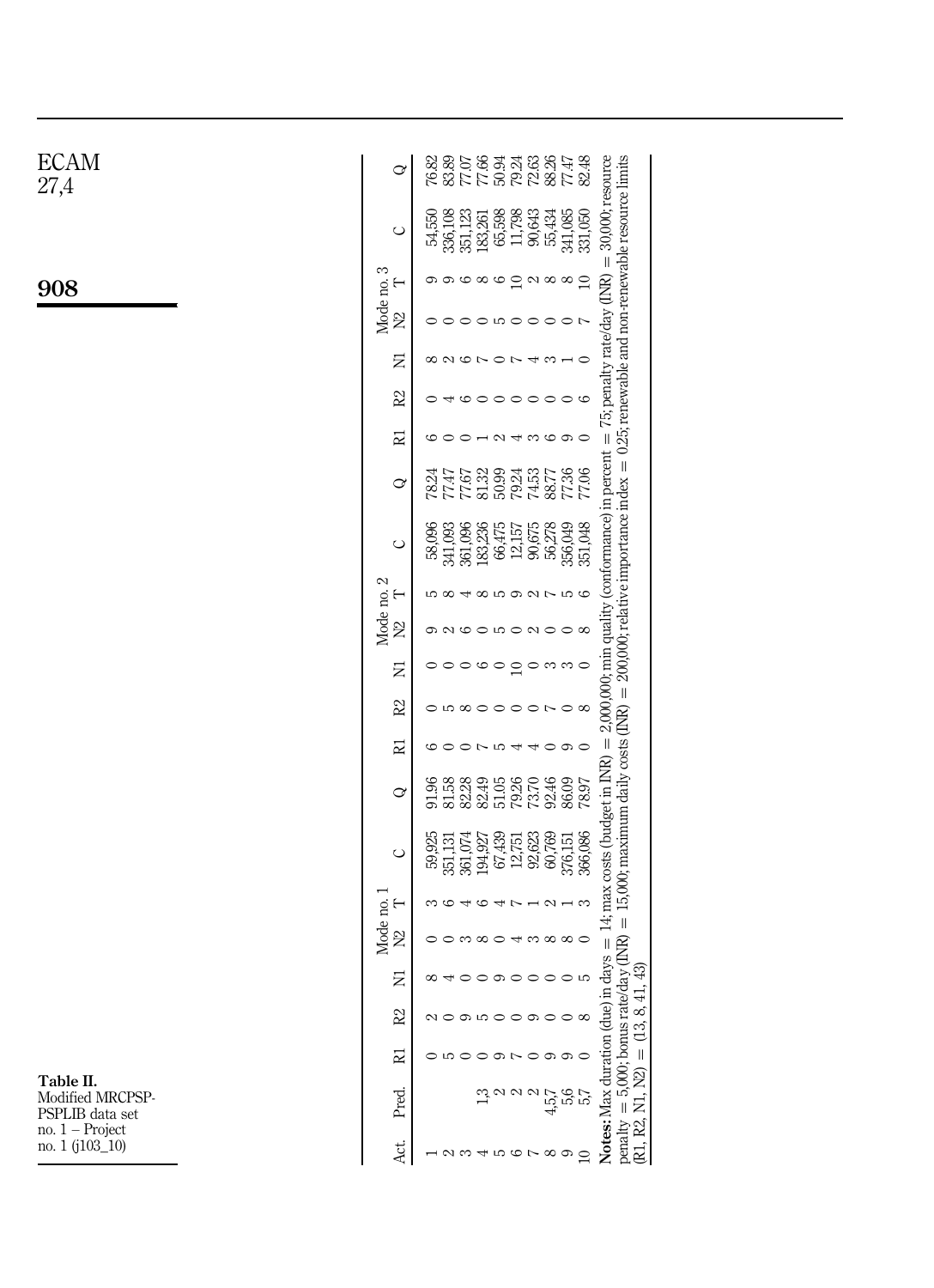| <b>ECAM</b><br>27,4                              | ♂                         | 77.66<br>72.63<br>88.26<br>77.47<br>82.48<br>76.82<br>83.89<br>77.07<br>50.94<br>79.24                                                                                                                                                                                                   |
|--------------------------------------------------|---------------------------|------------------------------------------------------------------------------------------------------------------------------------------------------------------------------------------------------------------------------------------------------------------------------------------|
|                                                  | $\circ$                   | 30,000; resource<br>351,123<br>183,261<br>65,598<br>11,798<br>90,643<br>55,434<br>341,085<br>336,108<br>331,050<br>54,550                                                                                                                                                                |
| 908                                              | S<br>$\vdash$             | $\parallel$<br>00000<br>$\supseteq$<br>$\alpha \otimes \infty$                                                                                                                                                                                                                           |
|                                                  | Mode no.<br>$\tilde{z}$   | 00000000                                                                                                                                                                                                                                                                                 |
|                                                  | Ξ                         | $\mathcal{O}\subset\mathcal{O}\subset\mathcal{O}$<br>$43 -$<br>$\circ$                                                                                                                                                                                                                   |
|                                                  | 22                        | $\triangleleft$ 0 0 0<br>$\circ \circ \circ \circ$<br>$\circ$                                                                                                                                                                                                                            |
|                                                  | 귣                         | $\overline{\phantom{0}}$<br>4.8600<br>G<br>$\circ$                                                                                                                                                                                                                                       |
|                                                  | ♂                         | 50.99<br>77.36<br>81.32<br>74.53<br>77.67<br>79.24<br>88.77<br>77.06<br>78.24<br>77.47                                                                                                                                                                                                   |
|                                                  | $\circ$                   | $200,000$ ; relative importance index = 0.25; renewable and non-renewable resource limits<br>$2,000,000$ ; min quality (conformance) in percent = $75$ ; penalty rate/day (INR)<br>56,278<br>356,049<br>351,048<br>341,093<br>361,096<br>66,475<br>90,675<br>183,236<br>12,157<br>58,096 |
|                                                  | ⊢                         | 5848592756                                                                                                                                                                                                                                                                               |
|                                                  | Mode no. 2<br>$\tilde{z}$ | QQQQ<br>$\circ$ $\circ$ $\circ$ $\circ$                                                                                                                                                                                                                                                  |
|                                                  | Ξ                         | $\circ$<br>$\circ$ m m $\circ$<br>$\circ$<br>$\circ$<br>G<br>$\supseteq$                                                                                                                                                                                                                 |
|                                                  | $\approx$                 | $\parallel$<br>0 0 0 0 0 0 0 0 0 0 0                                                                                                                                                                                                                                                     |
|                                                  | 귣                         | $\parallel$<br>00004<br>$\triangleleft$ 0 0 0<br>G                                                                                                                                                                                                                                       |
|                                                  | ♂                         | 82.49<br>51.05<br>79.26<br>92.46<br>86.09<br>81.58<br>73.70<br>91.96<br>78.97                                                                                                                                                                                                            |
|                                                  | $\circ$                   | 5,000; bonus rate/day ( $\text{INR}$ ) = 15,000; maximum daily costs ( $\text{INR}$ )<br>days = $14$ ; max costs (budget in INR)<br>366,086<br>$351,131$<br>$361,074$<br>67,439<br>92,623<br>60,769<br>59,925<br>376,151<br>194,927<br>12,751                                            |
|                                                  | Mode no. 1<br>⊢           | G<br>$\rightarrow$ $\sim$<br>45<br>$-2 - 3$<br>∞                                                                                                                                                                                                                                         |
|                                                  | $\tilde{z}$               | $\circ$ m $\circ$ $\circ$<br>$\overline{\phantom{a}}$<br>$\infty$ $\infty$ $\infty$                                                                                                                                                                                                      |
|                                                  | Ξ                         | 43<br>$\sigma$<br>$^{\circ}$<br>$\circ$<br>$\circ$<br>$\circ$<br>っ<br>$\overline{4}$ .                                                                                                                                                                                                   |
|                                                  | R <sub>2</sub>            | 8<br>NOOLOOOOOO<br>(13,                                                                                                                                                                                                                                                                  |
|                                                  | 귭                         | $\parallel$<br>o no o o No o o o                                                                                                                                                                                                                                                         |
| Table II.<br>Modified MRCPSP-<br>PSPLIB data set | Pred.                     | Notes: Max duration (due) in<br><b>Z</b><br>្គ<br>ស្រុក ស្រុក<br>ស្រុក<br>ಲ್<br>Σİ.<br>$\parallel$                                                                                                                                                                                       |
| $no. 1 - Project$<br>no. 1 (j103_10)             | Act.                      | R1, R2,<br>penalty<br>123456789                                                                                                                                                                                                                                                          |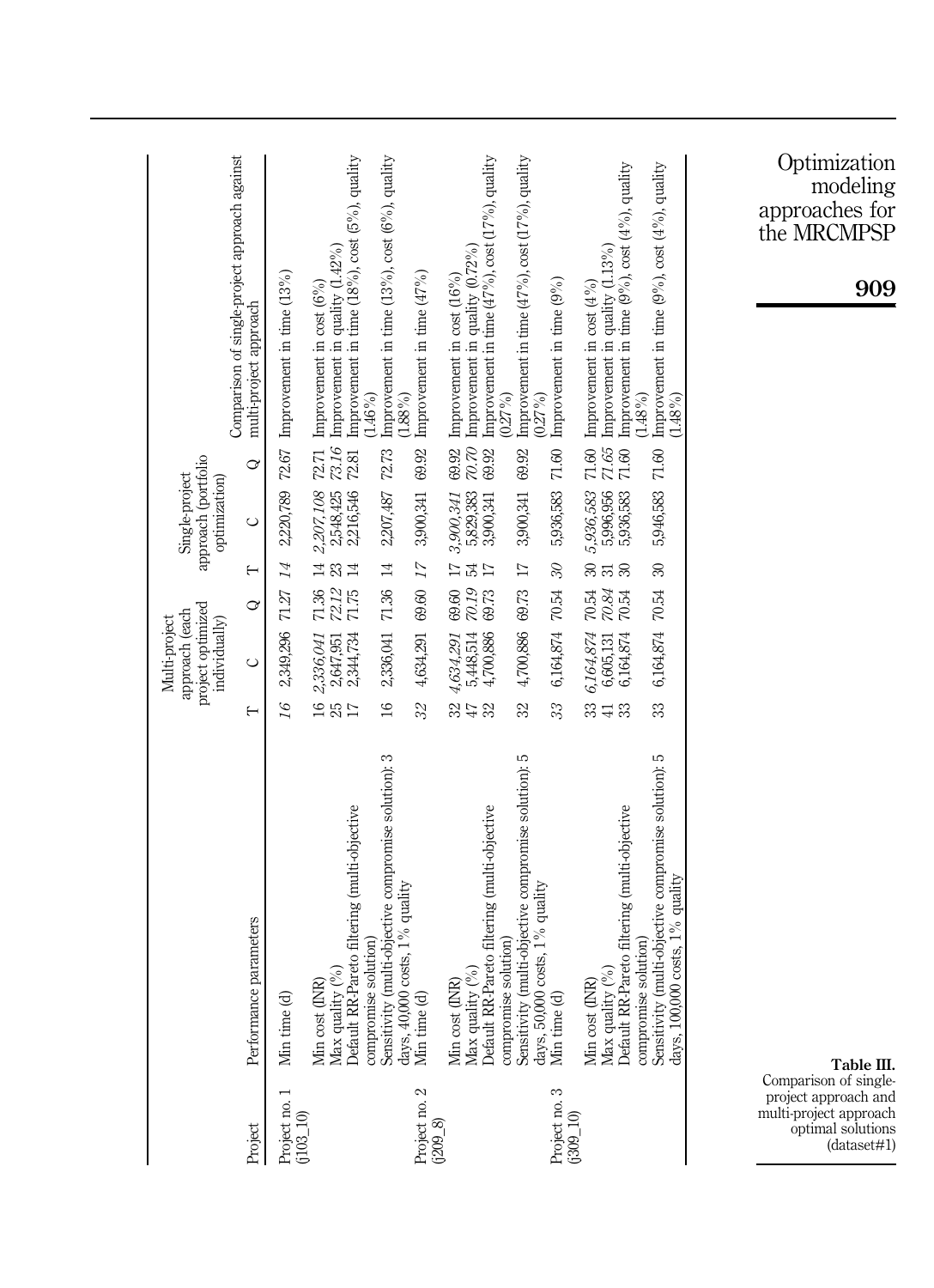| 72.67<br>S<br>2,220,789<br>2,207,108<br>$\circ$<br>$\overline{14}$<br>$\mapsto$<br>$71.36\,$<br>71.27<br>S<br>2,349,296<br>2,336,041<br>$\circ$<br>16<br>⊢<br>Performance parameters<br>Min cost (INR)<br>Min time (d)<br>Project no.<br>$(103\_10)$<br>Project                               | Comparison of single-project approach against<br>multi-project approach                                                            |
|-----------------------------------------------------------------------------------------------------------------------------------------------------------------------------------------------------------------------------------------------------------------------------------------------|------------------------------------------------------------------------------------------------------------------------------------|
|                                                                                                                                                                                                                                                                                               |                                                                                                                                    |
|                                                                                                                                                                                                                                                                                               | Improvement in time (13%)                                                                                                          |
| 73.16<br>72.81<br>2,216,546<br>2,548,425<br>1401<br>72.12<br>71.75<br>2,344,734<br>2,647,951<br><b>16</b><br>25<br>$\overline{17}$<br>Default RR-Pareto filtering (multi-objective<br>$\binom{0}{0}$<br>Max quality                                                                           | Improvement in time $(18\%)$ , cost $(5\%)$ , quality<br>Improvement in quality $(1.42\%)$<br>Improvement in cost $(6\%)$<br>72.71 |
| $(1.46\%)$<br>$(1.88\%)$<br>72.73<br>2,207,487<br>$\overline{14}$<br>$71.36\,$<br>2,336,041<br>$16\,$<br>Sensitivity (multi-objective compromise solution): 3<br>days, $40,000$ costs, $1\%$ quality<br>compromise solution)                                                                  | Improvement in time $(13\%)$ , cost $(6\%)$ , quality                                                                              |
| 69.92<br>3,900,341<br>17<br>69.60<br>4,634,291<br>32<br>Min time (d)<br>$\mathbf{\Omega}$<br>Project no.<br>(2098)                                                                                                                                                                            | Improvement in time (47%)                                                                                                          |
| $\omega\infty$<br>69.92<br>69.92<br>5,829,383<br>3,900,341<br>3,900,341<br>$E_{\rm H}$<br>$\overline{17}$<br>69.60<br>72.19<br>69.73<br>5,448,514<br>4,700,886<br>4,634,291<br>37<br>32<br>Default RR-Pareto filtering (multi-objective<br>$\mathcal{S}_0$<br>Min cost (INR)<br>Max quality ( | Improvement in time $(47\%)$ , cost $(17\%)$ , quality<br>Improvement in quality $(0.72\%)$<br>Improvement in cost (16%)           |
| $(0.27\%)$<br>69.92<br>3,900,341<br>$\overline{\Box}$<br>69.73<br>4,700,886<br>32<br>Sensitivity (multi-objective compromise solution): 5<br>compromise solution)                                                                                                                             | Improvement in time $(47\%)$ , cost $(17\%)$ , quality                                                                             |
| $(0.27\%)$<br>$71.60\,$<br>5,936,583<br>$\mathcal{C}$<br>$70.54\,$<br>6,164,874<br>33<br>days, $50,000$ costs, $1\%$ quality<br>Min time (d)<br>Project no. 3<br>$(309 \_10)$                                                                                                                 | Improvement in time (9%)                                                                                                           |
| 71.65<br>71.60<br>71.60<br>5,936,583<br>5,936,583<br>5,996,956<br>ននន<br>$\frac{1}{120}$ $\frac{1}{120}$<br>$70.54\,$<br>6,164,874<br>6,164,874<br>6,605,131<br>33 H<br>33<br>Default RR-Pareto filtering (multi-objective<br>$\mathcal{C}_{0}$<br>Min cost (INR)<br>Max quality (            | Improvement in quality $(1.13\%)$<br>Improvement in time $(9\%)$ , cost $(4\%)$ , quality<br>Improvement in cost $(4\%)$           |
| $(1.48\%)$<br>$71.60\,$<br>5,946,583<br>$\approx$<br>70.54<br>6,164,874<br>33<br>Sensitivity (multi-objective compromise solution): 5<br>compromise solution)                                                                                                                                 | Improvement in time $(9\%)$ , cost $(4\%)$ , quality<br>$(1.48\%)$                                                                 |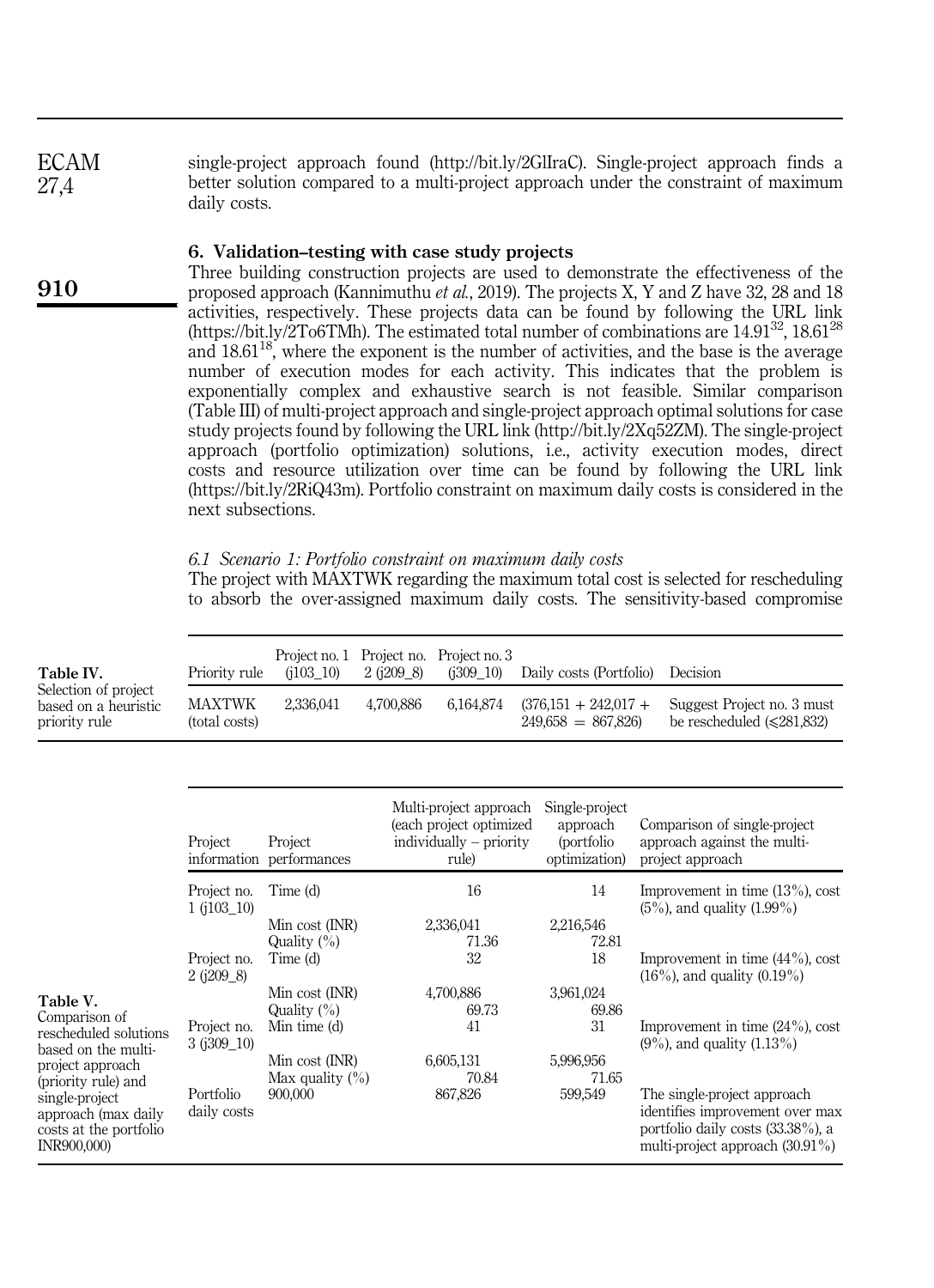single-project approach found (http://bit.ly/2GlIraC). Single-project approach finds a better solution compared to a multi-project approach under the constraint of maximum daily costs. ECAM 27,4

## 6. Validation–testing with case study projects

Three building construction projects are used to demonstrate the effectiveness of the proposed approach (Kannimuthu *et al.*, 2019). The projects X, Y and Z have 32, 28 and 18 activities, respectively. These projects data can be found by following the URL link (https://bit.ly/2To6TMh). The estimated total number of combinations are  $14.91^{32}$ ,  $18.61^{28}$ and  $18.61^{18}$ , where the exponent is the number of activities, and the base is the average number of execution modes for each activity. This indicates that the problem is exponentially complex and exhaustive search is not feasible. Similar comparison (Table III) of multi-project approach and single-project approach optimal solutions for case study projects found by following the URL link (http://bit.ly/2Xq52ZM). The single-project approach (portfolio optimization) solutions, i.e., activity execution modes, direct costs and resource utilization over time can be found by following the URL link (https://bit.ly/2RiQ43m). Portfolio constraint on maximum daily costs is considered in the next subsections.

# *6.1 Scenario 1: Portfolio constraint on maximum daily costs*

The project with MAXTWK regarding the maximum total cost is selected for rescheduling to absorb the over-assigned maximum daily costs. The sensitivity-based compromise

| Table IV.                                                                                                                                                                                              | Priority rule                  | Project no. 1<br>(i103 10)                            | Project no.<br>$2$ ( $i209$ 8) | Project no. 3<br>(i309 10)                                                              | Daily costs (Portfolio)                                    | Decision                                                                                                                                  |
|--------------------------------------------------------------------------------------------------------------------------------------------------------------------------------------------------------|--------------------------------|-------------------------------------------------------|--------------------------------|-----------------------------------------------------------------------------------------|------------------------------------------------------------|-------------------------------------------------------------------------------------------------------------------------------------------|
| Selection of project<br>based on a heuristic<br>priority rule                                                                                                                                          | <b>MAXTWK</b><br>(total costs) | 2,336,041                                             | 4,700,886                      | 6,164,874                                                                               | $(376,151 + 242,017 +$<br>$249,658 = 867,826$              | Suggest Project no. 3 must<br>be rescheduled $(\leq 281.832)$                                                                             |
|                                                                                                                                                                                                        |                                |                                                       |                                |                                                                                         |                                                            |                                                                                                                                           |
|                                                                                                                                                                                                        | Project                        | Project<br>information performances                   |                                | Multi-project approach<br>(each project optimized<br>$individually - priority$<br>rule) | Single-project<br>approach<br>(portfolio)<br>optimization) | Comparison of single-project<br>approach against the multi-<br>project approach                                                           |
|                                                                                                                                                                                                        | Project no.<br>$1(103-10)$     | Time (d)<br>Min cost (INR)<br>Quality $(\%)$          |                                | 16<br>2,336,041<br>71.36                                                                | 14<br>2,216,546<br>72.81                                   | Improvement in time $(13\%)$ , cost<br>$(5\%)$ , and quality $(1.99\%)$                                                                   |
| Table V.<br>Comparison of<br>rescheduled solutions<br>based on the multi-<br>project approach<br>(priority rule) and<br>single-project<br>approach (max daily<br>costs at the portfolio<br>INR900,000) | Project no.<br>$2$ ( $1209$ 8) | Time (d)<br>Min cost (INR)<br>Quality $(\%)$          |                                | 32<br>4,700,886<br>69.73                                                                | 18<br>3,961,024<br>69.86                                   | Improvement in time $(44\%)$ , cost<br>$(16\%)$ , and quality $(0.19\%)$                                                                  |
|                                                                                                                                                                                                        | Project no.<br>$3(1309 - 10)$  | Min time (d)<br>Min cost (INR)<br>Max quality $(\% )$ |                                | 41<br>6,605,131<br>70.84                                                                | 31<br>5,996,956<br>71.65                                   | Improvement in time $(24\%)$ , cost<br>$(9\%)$ , and quality $(1.13\%)$                                                                   |
|                                                                                                                                                                                                        | Portfolio<br>daily costs       | 900,000                                               |                                | 867,826                                                                                 | 599,549                                                    | The single-project approach<br>identifies improvement over max<br>portfolio daily costs (33.38%), a<br>multi-project approach $(30.91\%)$ |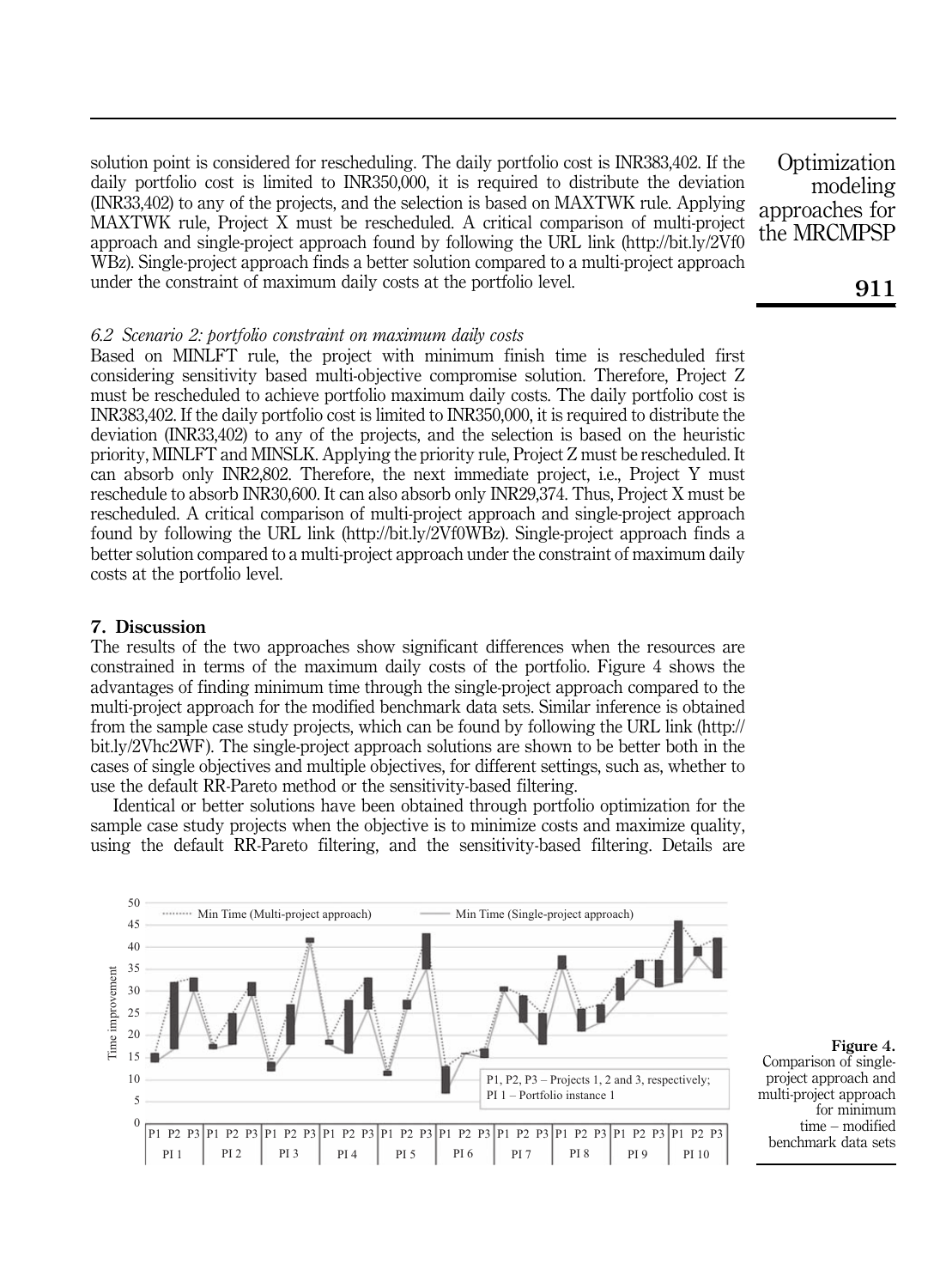solution point is considered for rescheduling. The daily portfolio cost is INR383,402. If the daily portfolio cost is limited to INR350,000, it is required to distribute the deviation (INR33,402) to any of the projects, and the selection is based on MAXTWK rule. Applying MAXTWK rule, Project X must be rescheduled. A critical comparison of multi-project approach and single-project approach found by following the URL link (http://bit.ly/2Vf0 WBz). Single-project approach finds a better solution compared to a multi-project approach under the constraint of maximum daily costs at the portfolio level.

**Optimization** modeling approaches for the MRCMPSP

#### *6.2 Scenario 2: portfolio constraint on maximum daily costs*

Based on MINLFT rule, the project with minimum finish time is rescheduled first considering sensitivity based multi-objective compromise solution. Therefore, Project Z must be rescheduled to achieve portfolio maximum daily costs. The daily portfolio cost is INR383,402. If the daily portfolio cost is limited to INR350,000, it is required to distribute the deviation (INR33,402) to any of the projects, and the selection is based on the heuristic priority, MINLFT and MINSLK. Applying the priority rule, Project Z must be rescheduled. It can absorb only INR2,802. Therefore, the next immediate project, i.e., Project Y must reschedule to absorb INR30,600. It can also absorb only INR29,374. Thus, Project X must be rescheduled. A critical comparison of multi-project approach and single-project approach found by following the URL link (http://bit.ly/2Vf0WBz). Single-project approach finds a better solution compared to a multi-project approach under the constraint of maximum daily costs at the portfolio level.

## 7. Discussion

The results of the two approaches show significant differences when the resources are constrained in terms of the maximum daily costs of the portfolio. Figure 4 shows the advantages of finding minimum time through the single-project approach compared to the multi-project approach for the modified benchmark data sets. Similar inference is obtained from the sample case study projects, which can be found by following the URL link (http:// bit.ly/2Vhc2WF). The single-project approach solutions are shown to be better both in the cases of single objectives and multiple objectives, for different settings, such as, whether to use the default RR-Pareto method or the sensitivity-based filtering.

Identical or better solutions have been obtained through portfolio optimization for the sample case study projects when the objective is to minimize costs and maximize quality, using the default RR-Pareto filtering, and the sensitivity-based filtering. Details are



Figure 4. Comparison of singleproject approach and multi-project approach for minimum time – modified benchmark data sets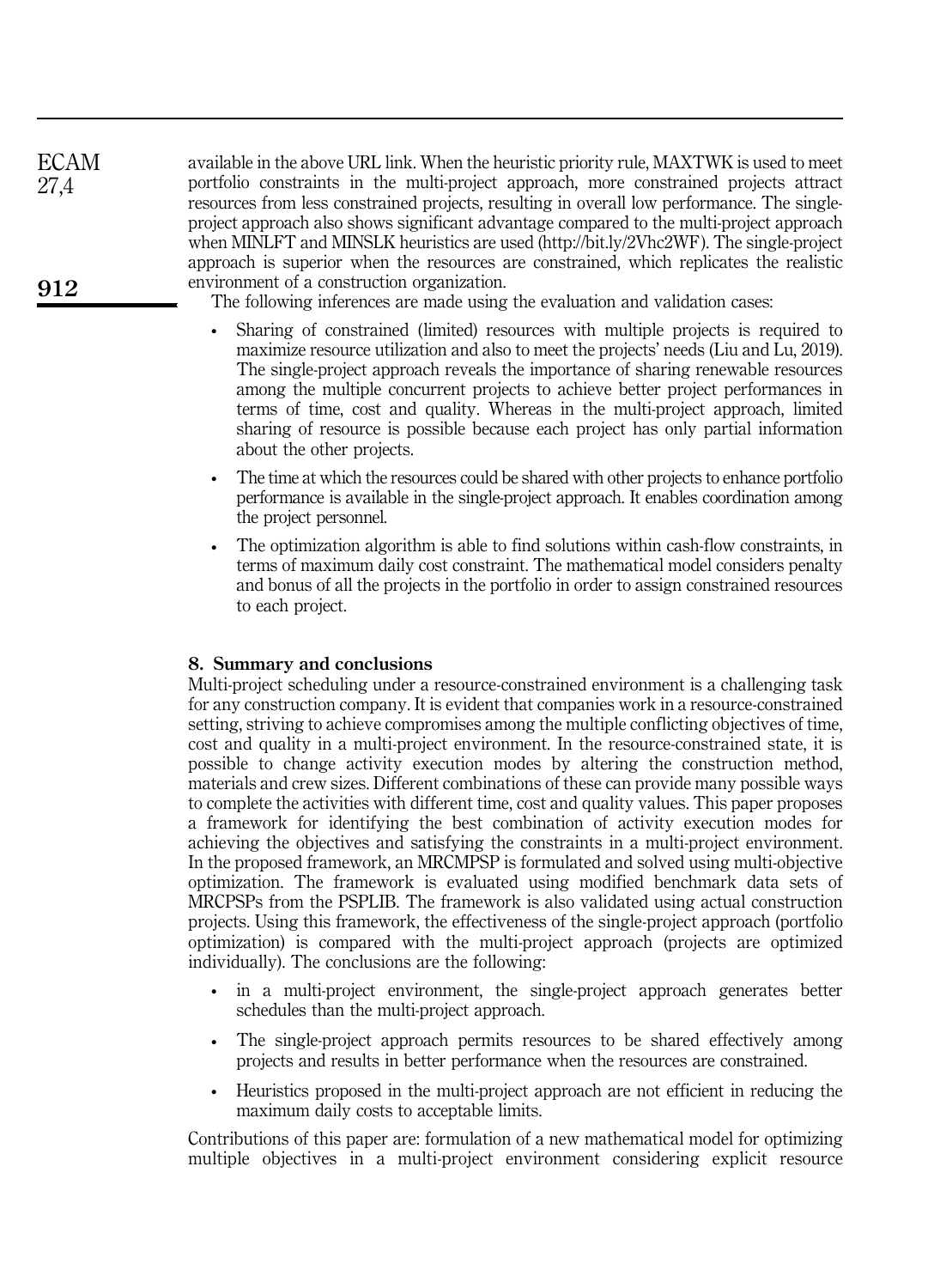available in the above URL link. When the heuristic priority rule, MAXTWK is used to meet portfolio constraints in the multi-project approach, more constrained projects attract resources from less constrained projects, resulting in overall low performance. The singleproject approach also shows significant advantage compared to the multi-project approach when MINLFT and MINSLK heuristics are used (http://bit.ly/2Vhc2WF). The single-project approach is superior when the resources are constrained, which replicates the realistic environment of a construction organization. 912 ECAM 27,4

The following inferences are made using the evaluation and validation cases:

- Sharing of constrained (limited) resources with multiple projects is required to maximize resource utilization and also to meet the projects' needs (Liu and Lu, 2019). The single-project approach reveals the importance of sharing renewable resources among the multiple concurrent projects to achieve better project performances in terms of time, cost and quality. Whereas in the multi-project approach, limited sharing of resource is possible because each project has only partial information about the other projects.
- The time at which the resources could be shared with other projects to enhance portfolio performance is available in the single-project approach. It enables coordination among the project personnel.
- The optimization algorithm is able to find solutions within cash-flow constraints, in terms of maximum daily cost constraint. The mathematical model considers penalty and bonus of all the projects in the portfolio in order to assign constrained resources to each project.

# 8. Summary and conclusions

Multi-project scheduling under a resource-constrained environment is a challenging task for any construction company. It is evident that companies work in a resource-constrained setting, striving to achieve compromises among the multiple conflicting objectives of time, cost and quality in a multi-project environment. In the resource-constrained state, it is possible to change activity execution modes by altering the construction method, materials and crew sizes. Different combinations of these can provide many possible ways to complete the activities with different time, cost and quality values. This paper proposes a framework for identifying the best combination of activity execution modes for achieving the objectives and satisfying the constraints in a multi-project environment. In the proposed framework, an MRCMPSP is formulated and solved using multi-objective optimization. The framework is evaluated using modified benchmark data sets of MRCPSPs from the PSPLIB. The framework is also validated using actual construction projects. Using this framework, the effectiveness of the single-project approach (portfolio optimization) is compared with the multi-project approach (projects are optimized individually). The conclusions are the following:

- in a multi-project environment, the single-project approach generates better schedules than the multi-project approach.
- The single-project approach permits resources to be shared effectively among projects and results in better performance when the resources are constrained.
- Heuristics proposed in the multi-project approach are not efficient in reducing the maximum daily costs to acceptable limits.

Contributions of this paper are: formulation of a new mathematical model for optimizing multiple objectives in a multi-project environment considering explicit resource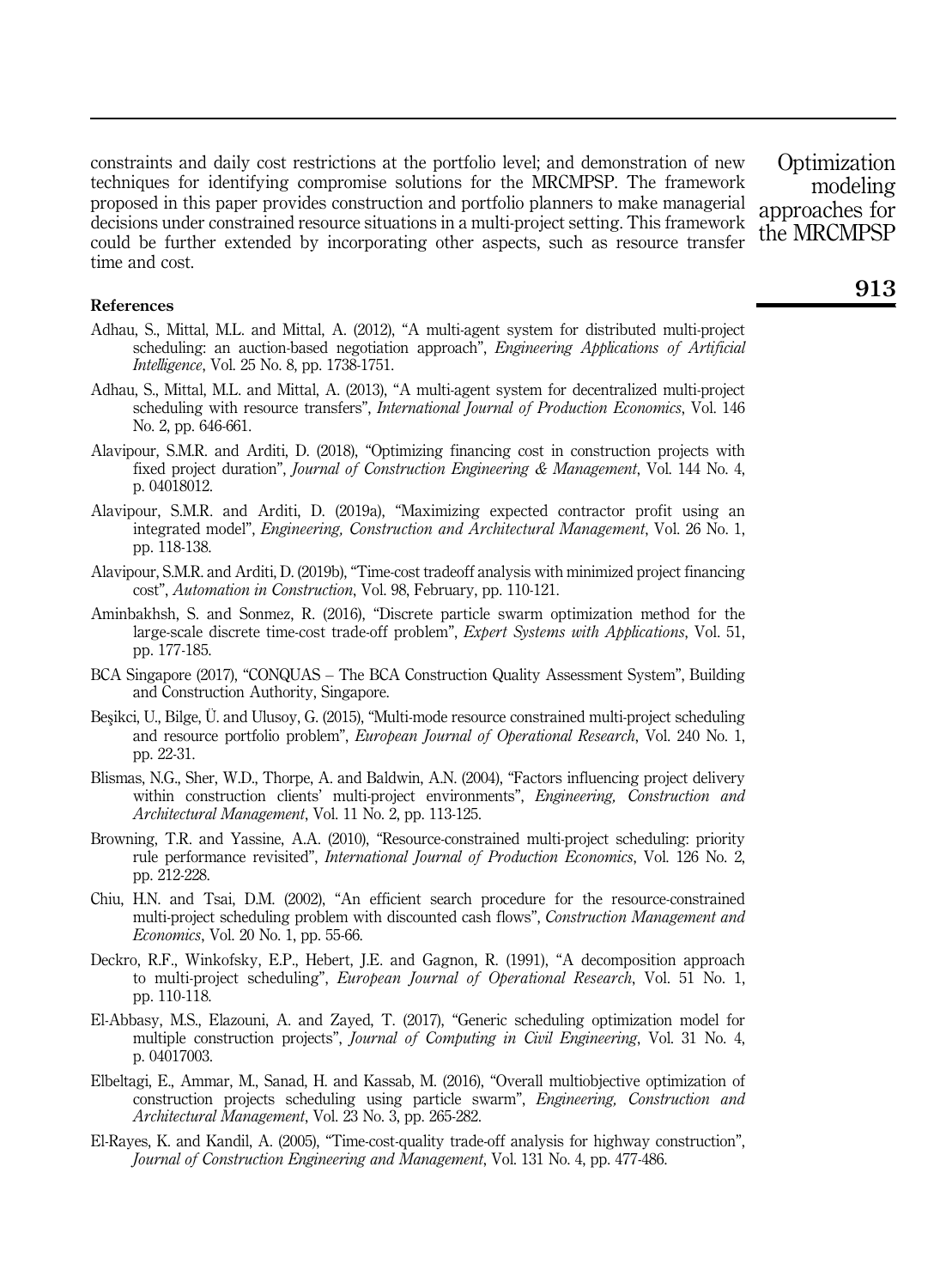constraints and daily cost restrictions at the portfolio level; and demonstration of new techniques for identifying compromise solutions for the MRCMPSP. The framework proposed in this paper provides construction and portfolio planners to make managerial decisions under constrained resource situations in a multi-project setting. This framework could be further extended by incorporating other aspects, such as resource transfer time and cost.

**Optimization** modeling approaches for the MRCMPSP

#### References

- Adhau, S., Mittal, M.L. and Mittal, A. (2012), "A multi-agent system for distributed multi-project scheduling: an auction-based negotiation approach", *Engineering Applications of Artificial Intelligence*, Vol. 25 No. 8, pp. 1738-1751.
- Adhau, S., Mittal, M.L. and Mittal, A. (2013), "A multi-agent system for decentralized multi-project scheduling with resource transfers", *International Journal of Production Economics*, Vol. 146 No. 2, pp. 646-661.
- Alavipour, S.M.R. and Arditi, D. (2018), "Optimizing financing cost in construction projects with fixed project duration", *Journal of Construction Engineering & Management*, Vol. 144 No. 4, p. 04018012.
- Alavipour, S.M.R. and Arditi, D. (2019a), "Maximizing expected contractor profit using an integrated model", *Engineering, Construction and Architectural Management*, Vol. 26 No. 1, pp. 118-138.
- Alavipour, S.M.R. and Arditi, D. (2019b), "Time-cost tradeoff analysis with minimized project financing cost", *Automation in Construction*, Vol. 98, February, pp. 110-121.
- Aminbakhsh, S. and Sonmez, R. (2016), "Discrete particle swarm optimization method for the large-scale discrete time-cost trade-off problem", *Expert Systems with Applications*, Vol. 51, pp. 177-185.
- BCA Singapore (2017), "CONQUAS The BCA Construction Quality Assessment System", Building and Construction Authority, Singapore.
- Beşikci, U., Bilge, Ü. and Ulusoy, G. (2015), "Multi-mode resource constrained multi-project scheduling and resource portfolio problem", *European Journal of Operational Research*, Vol. 240 No. 1, pp. 22-31.
- Blismas, N.G., Sher, W.D., Thorpe, A. and Baldwin, A.N. (2004), "Factors influencing project delivery within construction clients' multi-project environments", *Engineering, Construction and Architectural Management*, Vol. 11 No. 2, pp. 113-125.
- Browning, T.R. and Yassine, A.A. (2010), "Resource-constrained multi-project scheduling: priority rule performance revisited", *International Journal of Production Economics*, Vol. 126 No. 2, pp. 212-228.
- Chiu, H.N. and Tsai, D.M. (2002), "An efficient search procedure for the resource-constrained multi-project scheduling problem with discounted cash flows", *Construction Management and Economics*, Vol. 20 No. 1, pp. 55-66.
- Deckro, R.F., Winkofsky, E.P., Hebert, J.E. and Gagnon, R. (1991), "A decomposition approach to multi-project scheduling", *European Journal of Operational Research*, Vol. 51 No. 1, pp. 110-118.
- El-Abbasy, M.S., Elazouni, A. and Zayed, T. (2017), "Generic scheduling optimization model for multiple construction projects", *Journal of Computing in Civil Engineering*, Vol. 31 No. 4, p. 04017003.
- Elbeltagi, E., Ammar, M., Sanad, H. and Kassab, M. (2016), "Overall multiobjective optimization of construction projects scheduling using particle swarm", *Engineering, Construction and Architectural Management*, Vol. 23 No. 3, pp. 265-282.
- El-Rayes, K. and Kandil, A. (2005), "Time-cost-quality trade-off analysis for highway construction", *Journal of Construction Engineering and Management*, Vol. 131 No. 4, pp. 477-486.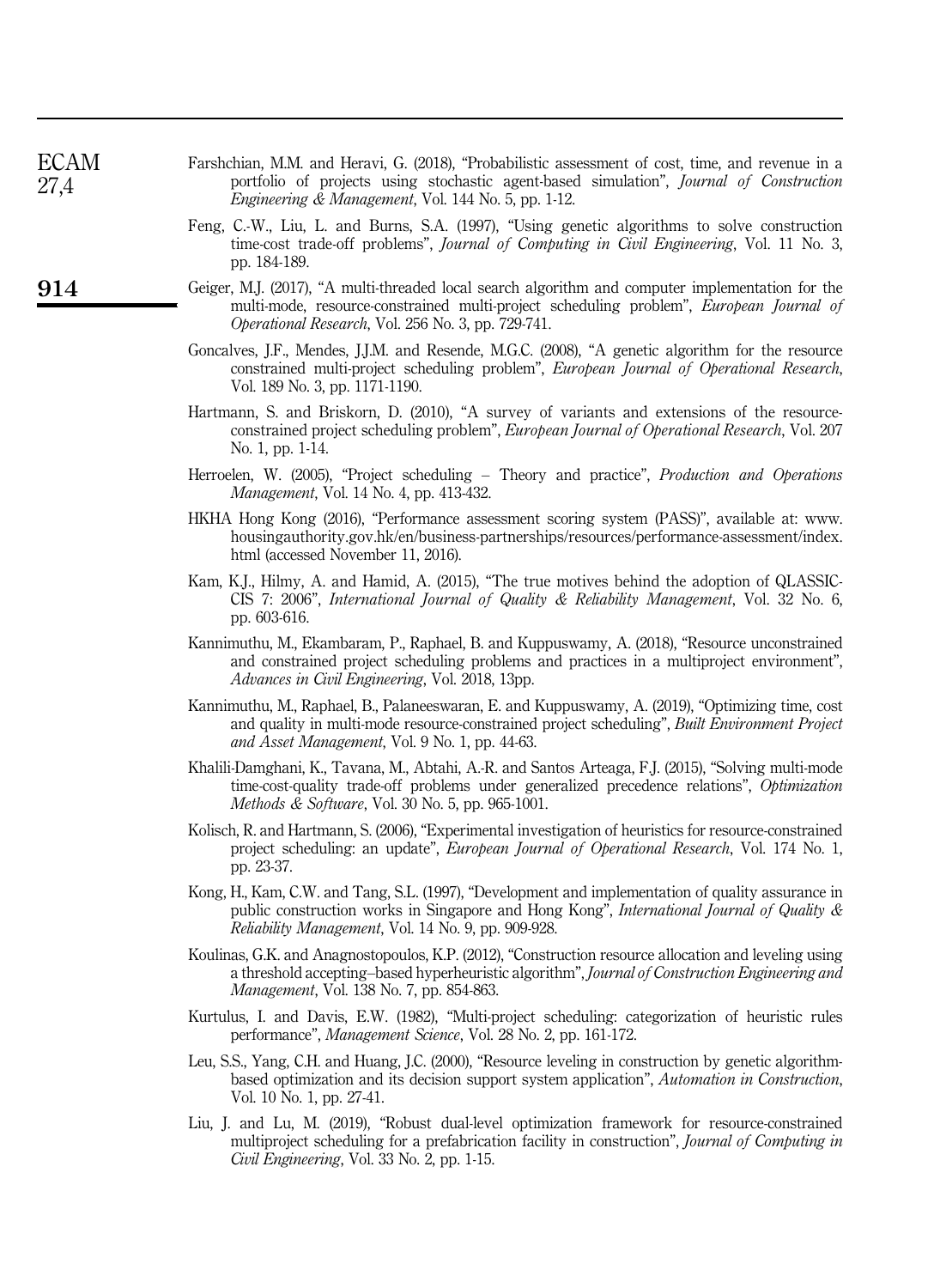| <b>ECAM</b><br>27,4 | Farshchian, M.M. and Heravi, G. (2018), "Probabilistic assessment of cost, time, and revenue in a<br>portfolio of projects using stochastic agent-based simulation", Journal of Construction<br><i>Engineering &amp; Management, Vol. 144 No. 5, pp. 1-12.</i>     |
|---------------------|--------------------------------------------------------------------------------------------------------------------------------------------------------------------------------------------------------------------------------------------------------------------|
|                     | Feng, C.-W., Liu, L. and Burns, S.A. (1997), "Using genetic algorithms to solve construction<br>time-cost trade-off problems", Journal of Computing in Civil Engineering, Vol. 11 No. 3,<br>pp. 184-189.                                                           |
| 914                 | Geiger, M.J. (2017), "A multi-threaded local search algorithm and computer implementation for the<br>multi-mode, resource-constrained multi-project scheduling problem", European Journal of<br>Operational Research, Vol. 256 No. 3, pp. 729-741.                 |
|                     | Goncalves, J.F., Mendes, J.J.M. and Resende, M.G.C. (2008), "A genetic algorithm for the resource<br>constrained multi-project scheduling problem", European Journal of Operational Research,<br>Vol. 189 No. 3, pp. 1171-1190.                                    |
|                     | Hartmann, S. and Briskorn, D. (2010), "A survey of variants and extensions of the resource-<br>constrained project scheduling problem", European Journal of Operational Research, Vol. 207<br>No. 1, pp. 1-14.                                                     |
|                     | Herroelen, W. (2005), "Project scheduling – Theory and practice", <i>Production and Operations</i><br><i>Management, Vol. 14 No. 4, pp. 413-432.</i>                                                                                                               |
|                     | HKHA Hong Kong (2016), "Performance assessment scoring system (PASS)", available at: www.<br>housingauthority.gov.hk/en/business-partnerships/resources/performance-assessment/index.<br>html (accessed November 11, 2016).                                        |
|                     | Kam, K.J., Hilmy, A. and Hamid, A. (2015), "The true motives behind the adoption of QLASSIC-<br>CIS 7: 2006", International Journal of Quality & Reliability Management, Vol. 32 No. 6,<br>pp. 603-616.                                                            |
|                     | Kannimuthu, M., Ekambaram, P., Raphael, B. and Kuppuswamy, A. (2018), "Resource unconstrained<br>and constrained project scheduling problems and practices in a multiproject environment",<br>Advances in Civil Engineering, Vol. 2018, 13pp.                      |
|                     | Kannimuthu, M., Raphael, B., Palaneeswaran, E. and Kuppuswamy, A. (2019), "Optimizing time, cost<br>and quality in multi-mode resource-constrained project scheduling", Built Environment Project<br>and Asset Management, Vol. 9 No. 1, pp. 44-63.                |
|                     | Khalili-Damghani, K., Tavana, M., Abtahi, A.-R. and Santos Arteaga, F.J. (2015), "Solving multi-mode<br>time-cost-quality trade-off problems under generalized precedence relations", Optimization<br><i>Methods &amp; Software</i> , Vol. 30 No. 5, pp. 965-1001. |
|                     | Kolisch, R. and Hartmann, S. (2006), "Experimental investigation of heuristics for resource-constrained<br>project scheduling: an update", <i>European Journal of Operational Research</i> , Vol. 174 No. 1,<br>pp. 23-37.                                         |
|                     | Kong, H., Kam, C.W. and Tang, S.L. (1997), "Development and implementation of quality assurance in<br>public construction works in Singapore and Hong Kong", <i>International Journal of Quality &amp;</i><br>Reliability Management, Vol. 14 No. 9, pp. 909-928.  |
|                     | Koulinas, G.K. and Anagnostopoulos, K.P. (2012), "Construction resource allocation and leveling using<br>a threshold accepting-based hyperheuristic algorithm", Journal of Construction Engineering and<br><i>Management, Vol. 138 No. 7, pp. 854-863.</i>         |
|                     | Kurtulus, I. and Davis, E.W. (1982), "Multi-project scheduling: categorization of heuristic rules<br>performance", Management Science, Vol. 28 No. 2, pp. 161-172.                                                                                                 |
|                     | Leu, S.S., Yang, C.H. and Huang, J.C. (2000), "Resource leveling in construction by genetic algorithm-<br>based optimization and its decision support system application", Automation in Construction,<br>Vol. 10 No. 1, pp. 27-41.                                |
|                     | Liu, J. and Lu, M. (2019), "Robust dual-level optimization framework for resource-constrained<br>multiproject scheduling for a prefabrication facility in construction", Journal of Computing in<br>Civil Engineering, Vol. 33 No. 2, pp. 1-15.                    |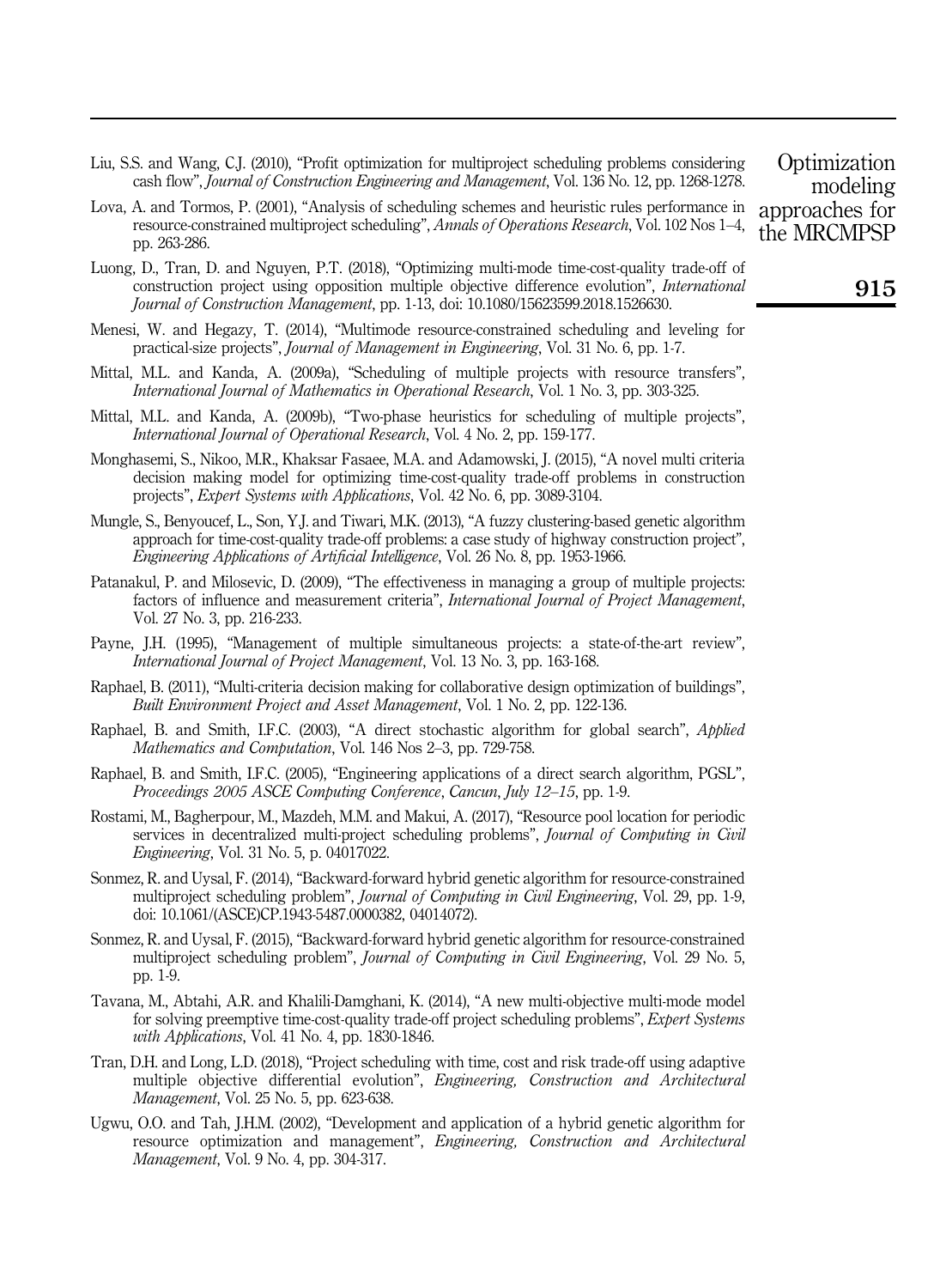- Liu, S.S. and Wang, C.J. (2010), "Profit optimization for multiproject scheduling problems considering cash flow", *Journal of Construction Engineering and Management*, Vol. 136 No. 12, pp. 1268-1278.
- Lova, A. and Tormos, P. (2001), "Analysis of scheduling schemes and heuristic rules performance in resource-constrained multiproject scheduling", *Annals of Operations Research*, Vol. 102 Nos 1–4, pp. 263-286.
- Luong, D., Tran, D. and Nguyen, P.T. (2018), "Optimizing multi-mode time-cost-quality trade-off of construction project using opposition multiple objective difference evolution", *International Journal of Construction Management*, pp. 1-13, doi: 10.1080/15623599.2018.1526630.
- Menesi, W. and Hegazy, T. (2014), "Multimode resource-constrained scheduling and leveling for practical-size projects", *Journal of Management in Engineering*, Vol. 31 No. 6, pp. 1-7.
- Mittal, M.L. and Kanda, A. (2009a), "Scheduling of multiple projects with resource transfers", *International Journal of Mathematics in Operational Research*, Vol. 1 No. 3, pp. 303-325.
- Mittal, M.L. and Kanda, A. (2009b), "Two-phase heuristics for scheduling of multiple projects", *International Journal of Operational Research*, Vol. 4 No. 2, pp. 159-177.
- Monghasemi, S., Nikoo, M.R., Khaksar Fasaee, M.A. and Adamowski, J. (2015), "A novel multi criteria decision making model for optimizing time-cost-quality trade-off problems in construction projects", *Expert Systems with Applications*, Vol. 42 No. 6, pp. 3089-3104.
- Mungle, S., Benyoucef, L., Son, Y.J. and Tiwari, M.K. (2013), "A fuzzy clustering-based genetic algorithm approach for time-cost-quality trade-off problems: a case study of highway construction project", *Engineering Applications of Artificial Intelligence*, Vol. 26 No. 8, pp. 1953-1966.
- Patanakul, P. and Milosevic, D. (2009), "The effectiveness in managing a group of multiple projects: factors of influence and measurement criteria", *International Journal of Project Management*, Vol. 27 No. 3, pp. 216-233.
- Payne, J.H. (1995), "Management of multiple simultaneous projects: a state-of-the-art review", *International Journal of Project Management*, Vol. 13 No. 3, pp. 163-168.
- Raphael, B. (2011), "Multi-criteria decision making for collaborative design optimization of buildings", *Built Environment Project and Asset Management*, Vol. 1 No. 2, pp. 122-136.
- Raphael, B. and Smith, I.F.C. (2003), "A direct stochastic algorithm for global search", *Applied Mathematics and Computation*, Vol. 146 Nos 2–3, pp. 729-758.
- Raphael, B. and Smith, I.F.C. (2005), "Engineering applications of a direct search algorithm, PGSL", *Proceedings 2005 ASCE Computing Conference*, *Cancun*, *July 12*–*15*, pp. 1-9.
- Rostami, M., Bagherpour, M., Mazdeh, M.M. and Makui, A. (2017), "Resource pool location for periodic services in decentralized multi-project scheduling problems", *Journal of Computing in Civil Engineering*, Vol. 31 No. 5, p. 04017022.
- Sonmez, R. and Uysal, F. (2014), "Backward-forward hybrid genetic algorithm for resource-constrained multiproject scheduling problem", *Journal of Computing in Civil Engineering*, Vol. 29, pp. 1-9, doi: 10.1061/(ASCE)CP.1943-5487.0000382, 04014072).
- Sonmez, R. and Uysal, F. (2015), "Backward-forward hybrid genetic algorithm for resource-constrained multiproject scheduling problem", *Journal of Computing in Civil Engineering*, Vol. 29 No. 5, pp. 1-9.
- Tavana, M., Abtahi, A.R. and Khalili-Damghani, K. (2014), "A new multi-objective multi-mode model for solving preemptive time-cost-quality trade-off project scheduling problems", *Expert Systems with Applications*, Vol. 41 No. 4, pp. 1830-1846.
- Tran, D.H. and Long, L.D. (2018), "Project scheduling with time, cost and risk trade-off using adaptive multiple objective differential evolution", *Engineering, Construction and Architectural Management*, Vol. 25 No. 5, pp. 623-638.
- Ugwu, O.O. and Tah, J.H.M. (2002), "Development and application of a hybrid genetic algorithm for resource optimization and management", *Engineering, Construction and Architectural Management*, Vol. 9 No. 4, pp. 304-317.

**Optimization** modeling approaches for the MRCMPSP